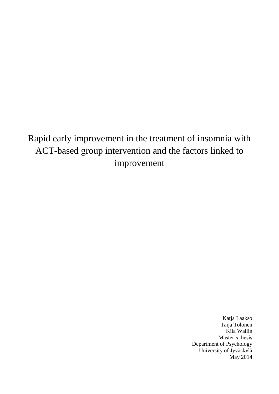Rapid early improvement in the treatment of insomnia with ACT-based group intervention and the factors linked to improvement

> Katja Laakso Taija Tolonen Kiia Wallin Master's thesis Department of Psychology University of Jyväskylä May 2014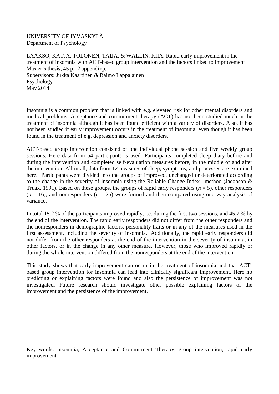## UNIVERSITY OF JYVÄSKYLÄ Department of Psychology

LAAKSO, KATJA, TOLONEN, TAIJA, & WALLIN, KIIA: Rapid early improvement in the treatment of insomnia with ACT-based group intervention and the factors linked to improvement Master's thesis, 45 p., 2 appendixp. Supervisors: Jukka Kaartinen & Raimo Lappalainen Psychology May 2014

Insomnia is a common problem that is linked with e.g. elevated risk for other mental disorders and medical problems. Acceptance and commitment therapy (ACT) has not been studied much in the treatment of insomnia although it has been found efficient with a variety of disorders. Also, it has not been studied if early improvement occurs in the treatment of insomnia, even though it has been found in the treatment of e.g. depression and anxiety disorders.

ACT-based group intervention consisted of one individual phone session and five weekly group sessions. Here data from 54 participants is used. Participants completed sleep diary before and during the intervention and completed self-evaluation measures before, in the middle of and after the intervention. All in all, data from 12 measures of sleep, symptoms, and processes are examined here. Participants were divided into the groups of improved, unchanged or deteriorated according to the change in the severity of insomnia using the Reliable Change Index –method (Jacobson & Truax, 1991). Based on these groups, the groups of rapid early responders  $(n = 5)$ , other responders  $(n = 16)$ , and nonresponders  $(n = 25)$  were formed and then compared using one-way analysis of variance.

In total 15.2 % of the participants improved rapidly, i.e. during the first two sessions, and 45.7 % by the end of the intervention. The rapid early responders did not differ from the other responders and the nonresponders in demographic factors, personality traits or in any of the measures used in the first assessment, including the severity of insomnia. Additionally, the rapid early responders did not differ from the other responders at the end of the intervention in the severity of insomnia, in other factors, or in the change in any other measure. However, those who improved rapidly or during the whole intervention differed from the nonresponders at the end of the intervention.

This study shows that early improvement can occur in the treatment of insomnia and that ACTbased group intervention for insomnia can lead into clinically significant improvement. Here no predicting or explaining factors were found and also the persistence of improvement was not investigated. Future research should investigate other possible explaining factors of the improvement and the persistence of the improvement.

Key words: insomnia, Acceptance and Commitment Therapy, group intervention, rapid early improvement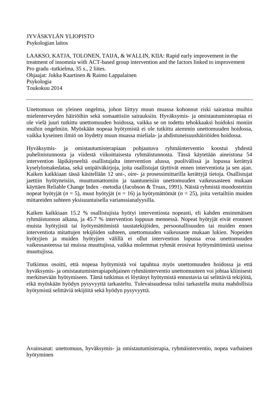JYVÄSKYLÄN YLIOPISTO Psykologian laitos

LAAKSO, KATJA, TOLONEN, TAIJA, & WALLIN, KIIA: Rapid early improvement in the treatment of insomnia with ACT-based group intervention and the factors linked to improvement Pro gradu -tutkielma, 35 s., 2 liites. Ohjaajat: Jukka Kaartinen & Raimo Lappalainen Psykologia Toukokuu 2014

Unettomuus on yleinen ongelma, johon liittyy muun muassa kohonnut riski sairastua muihin mielenterveyden häiriöihin sekä somaattisiin sairauksiin. Hyväksymis- ja omistautumisterapiaa ei ole vielä juuri tutkittu unettomuuden hoidossa, vaikka se on todettu tehokkaaksi hoidoksi moniin muihin ongelmiin. Myöskään nopeaa hyötymistä ei ole tutkittu aiemmin unettomuuden hoidossa, vaikka kyseinen ilmiö on löydetty muun muassa mieliala- ja ahdistuneisuushäiriöiden hoidossa.

Hyväksymis- ja omistautumisterapiaan pohjautuva ryhmäinterventio koostui yhdestä puhelinistunnosta ja viidestä viikoittaisesta ryhmäistunnosta. Tässä käytetään aineistona 54 intervention läpikäyneeltä osallistujalta intervention alussa, puolivälissä ja lopussa kerättyä kyselylomakedataa, sekä unipäiväkirjoja, joita osallistujat täyttivät ennen interventiota ja sen ajan. Kaiken kaikkiaan tässä käsitellään 12 uni-, oire- ja prosessimittarilla kerättyjä tietoja. Osallistujat jaettiin hyötyneisiin, muuttumattomiin ja taantuneisiin unettomuuden vaikeusasteen mukaan käyttäen Reliable Change Index –metodia (Jacobson & Truax, 1991). Näistä ryhmistä muodostettiin nopeat hyötyjät (*n* = 5), muut hyötyjät (*n* = 16) ja hyötymättömät (*n* = 25), joita vertailtiin muiden mittareiden suhteen yksisuuntaisella varianssianalyysilla.

Kaiken kaikkiaan 15.2 % osallistujista hyötyi interventiosta nopeasti, eli kahden ensimmäisen ryhmäistunnon aikana, ja 45.7 % intervention loppuun mennessä. Nopeat hyötyjät eivät eronneet muista hyötyjistä tai hyötymättömistä taustatekijöiden, persoonallisuuden tai muiden ennen interventiota mitattujen tekijöiden suhteen, unettomuuden vaikeusaste mukaan lukien. Nopeiden hyötyjien ja muiden hyötyjien välillä ei ollut intervention lopussa eroa unettomuuden vaikeusasteessa tai muissa muuttujissa, vaikka molemmat ryhmät erosivat hyötymättömistä useissa muuttujissa.

Tutkimus osoitti, että nopeaa hyötymistä voi tapahtua myös unettomuuden hoidossa ja että hyväksymis- ja omistautumisterapiapohjainen ryhmäinterventio unettomuuteen voi johtaa kliinisesti merkitsevään hyötymiseen. Tämä tutkimus ei löytänyt hyötymistä ennustavia tai selittäviä tekijöitä, eikä myöskään hyödyn pysyvyyttä tarkasteltu. Tulevaisuudessa tulisi tarkastella muita mahdollisia hyötymistä selittäviä tekijöitä sekä hyödyn pysyvyyttä.

Avainsanat: unettomuus, hyväksymis- ja omistautumisterapia, ryhmäinterventio, nopea varhainen hyötyminen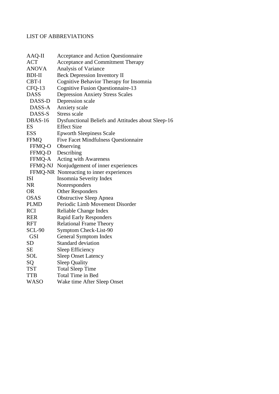# LIST OF ABBREVIATIONS

| AAQ-II        | Acceptance and Action Questionnaire                |
|---------------|----------------------------------------------------|
| <b>ACT</b>    | Acceptance and Commitment Therapy                  |
| <b>ANOVA</b>  | Analysis of Variance                               |
| <b>BDI-II</b> | <b>Beck Depression Inventory II</b>                |
| CBT-I         | Cognitive Behavior Therapy for Insomnia            |
| CFQ-13        | <b>Cognitive Fusion Questionnaire-13</b>           |
| <b>DASS</b>   | <b>Depression Anxiety Stress Scales</b>            |
| DASS-D        | Depression scale                                   |
| DASS-A        | <b>Anxiety</b> scale                               |
| DASS-S        | Stress scale                                       |
| DBAS-16       | Dysfunctional Beliefs and Attitudes about Sleep-16 |
| ES            | <b>Effect Size</b>                                 |
| <b>ESS</b>    | <b>Epworth Sleepiness Scale</b>                    |
| <b>FFMQ</b>   | <b>Five Facet Mindfulness Questionnaire</b>        |
| FFMQ-O        | Observing                                          |
| FFMQ-D        | Describing                                         |
| FFMQ-A        | <b>Acting with Awareness</b>                       |
| FFMQ-NJ       | Nonjudgement of inner experiences                  |
|               | FFMQ-NR Nonreacting to inner experiences           |
| <b>ISI</b>    | Insomnia Severity Index                            |
| <b>NR</b>     | Nonresponders                                      |
| <b>OR</b>     | <b>Other Responders</b>                            |
| <b>OSAS</b>   | <b>Obstructive Sleep Apnea</b>                     |
| <b>PLMD</b>   | Periodic Limb Movement Disorder                    |
| <b>RCI</b>    | Reliable Change Index                              |
| <b>RER</b>    | <b>Rapid Early Responders</b>                      |
| <b>RFT</b>    | <b>Relational Frame Theory</b>                     |
| <b>SCL-90</b> | Symptom Check-List-90                              |
| <b>GSI</b>    | General Symptom Index                              |
| <b>SD</b>     | <b>Standard deviation</b>                          |
| <b>SE</b>     | Sleep Efficiency                                   |
| SOL           | <b>Sleep Onset Latency</b>                         |
| SQ            | <b>Sleep Quality</b>                               |
| <b>TST</b>    | <b>Total Sleep Time</b>                            |
| TTB           | Total Time in Bed                                  |
| WASO          | Wake time After Sleep Onset                        |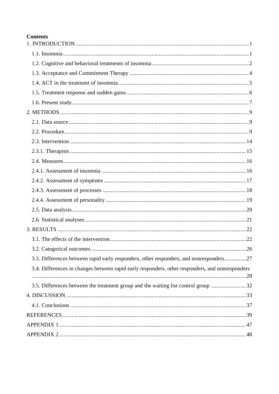## **Contents**

| 3.3. Differences between rapid early responders, other responders, and nonresponders27          |  |
|-------------------------------------------------------------------------------------------------|--|
| 3.4. Differences in changes between rapid early responders, other responders, and nonresponders |  |
| 3.5. Differences between the treatment group and the waiting list control group 32              |  |
|                                                                                                 |  |
|                                                                                                 |  |
|                                                                                                 |  |
|                                                                                                 |  |
|                                                                                                 |  |
|                                                                                                 |  |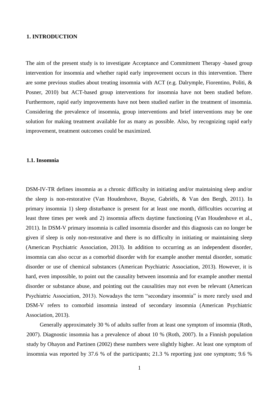## <span id="page-5-0"></span>**1. INTRODUCTION**

The aim of the present study is to investigate Acceptance and Commitment Therapy -based group intervention for insomnia and whether rapid early improvement occurs in this intervention. There are some previous studies about treating insomnia with ACT (e.g. Dalrymple, Fiorentino, Politi, & Posner, 2010) but ACT-based group interventions for insomnia have not been studied before. Furthermore, rapid early improvements have not been studied earlier in the treatment of insomnia. Considering the prevalence of insomnia, group interventions and brief interventions may be one solution for making treatment available for as many as possible. Also, by recognizing rapid early improvement, treatment outcomes could be maximized.

#### <span id="page-5-1"></span>**1.1. Insomnia**

DSM-IV-TR defines insomnia as a chronic difficulty in initiating and/or maintaining sleep and/or the sleep is non-restorative (Van Houdenhove, Buyse, Gabriëls, & Van den Bergh, 2011). In primary insomnia 1) sleep disturbance is present for at least one month, difficulties occurring at least three times per week and 2) insomnia affects daytime functioning (Van Houdenhove et al., 2011). In DSM-V primary insomnia is called insomnia disorder and this diagnosis can no longer be given if sleep is only non-restorative and there is no difficulty in initiating or maintaining sleep (American Psychiatric Association, 2013). In addition to occurring as an independent disorder, insomnia can also occur as a comorbid disorder with for example another mental disorder, somatic disorder or use of chemical substances (American Psychiatric Association, 2013). However, it is hard, even impossible, to point out the causality between insomnia and for example another mental disorder or substance abuse, and pointing out the causalities may not even be relevant (American Psychiatric Association, 2013). Nowadays the term "secondary insomnia" is more rarely used and DSM-V refers to comorbid insomnia instead of secondary insomnia (American Psychiatric Association, 2013).

Generally approximately 30 % of adults suffer from at least one symptom of insomnia (Roth, 2007). Diagnostic insomnia has a prevalence of about 10 % (Roth, 2007). In a Finnish population study by Ohayon and Partinen (2002) these numbers were slightly higher. At least one symptom of insomnia was reported by 37.6 % of the participants; 21.3 % reporting just one symptom; 9.6 %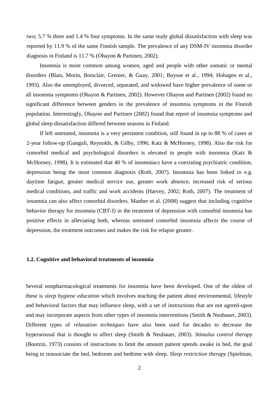two; 5.7 % three and 1.4 % four symptoms. In the same study global dissatisfaction with sleep was reported by 11.9 % of the same Finnish sample. The prevalence of any DSM-IV insomnia disorder diagnosis in Finland is 11.7 % (Ohayon & Partinen, 2002).

Insomnia is more common among women, aged and people with other somatic or mental disorders (Blais, Morin, Boisclair, Grenier, & Guay, 2001; Buysse et al., 1994; Hohagen et al., 1993). Also the unemployed, divorced, separated, and widowed have higher prevalence of some or all insomnia symptoms (Ohayon & Partinen, 2002). However Ohayon and Partinen (2002) found no significant difference between genders in the prevalence of insomnia symptoms in the Finnish population. Interestingly, Ohayon and Partinen (2002) found that report of insomnia symptoms and global sleep dissatisfaction differed between seasons in Finland.

If left untreated, insomnia is a very persistent condition, still found in up to 88 % of cases at 2-year follow-up (Ganguli, Reynolds, & Gilby, 1996; Katz & McHorney, 1998). Also the risk for comorbid medical and psychological disorders is elevated in people with insomnia (Katz & McHorney, 1998). It is estimated that 40 % of insomniacs have a coexisting psychiatric condition, depression being the most common diagnosis (Roth, 2007). Insomnia has been linked to e.g. daytime fatigue, greater medical service use, greater work absence, increased risk of serious medical conditions, and traffic and work accidents (Harvey, 2002; Roth, 2007). The treatment of insomnia can also affect comorbid disorders. Manber et al. (2008) suggest that including cognitive behavior therapy for insomnia (CBT-I) in the treatment of depression with comorbid insomnia has positive effects in alleviating both, whereas untreated comorbid insomnia affects the course of depression, the treatment outcomes and makes the risk for relapse greater.

#### <span id="page-6-0"></span>**1.2. Cognitive and behavioral treatments of insomnia**

Several nonpharmacological treatments for insomnia have been developed. One of the oldest of these is *sleep hygiene education* which involves teaching the patient about environmental, lifestyle and behavioral factors that may influence sleep, with a set of instructions that are not agreed-upon and may incorporate aspects from other types of insomnia interventions (Smith & Neubauer, 2003). Different types of *relaxation techniques* have also been used for decades to decrease the hyperarousal that is thought to affect sleep (Smith & Neubauer, 2003). *Stimulus control therapy*  (Bootzin, 1973) consists of instructions to limit the amount patient spends awake in bed, the goal being to reassociate the bed, bedroom and bedtime with sleep. *Sleep restriction therapy* (Spielman,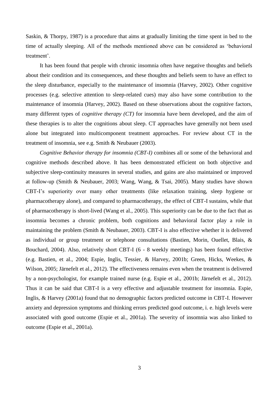Saskin, & Thorpy, 1987) is a procedure that aims at gradually limiting the time spent in bed to the time of actually sleeping. All of the methods mentioned above can be considered as 'behavioral treatment'.

It has been found that people with chronic insomnia often have negative thoughts and beliefs about their condition and its consequences, and these thoughts and beliefs seem to have an effect to the sleep disturbance, especially to the maintenance of insomnia (Harvey, 2002). Other cognitive processes (e.g. selective attention to sleep-related cues) may also have some contribution to the maintenance of insomnia (Harvey, 2002). Based on these observations about the cognitive factors, many different types of *cognitive therapy (CT)* for insomnia have been developed, and the aim of these therapies is to alter the cognitions about sleep. CT approaches have generally not been used alone but integrated into multicomponent treatment approaches. For review about CT in the treatment of insomnia, see e.g. Smith & Neubauer (2003).

<span id="page-7-0"></span>*Cognitive Behavior therapy for insomnia (CBT-I)* combines all or some of the behavioral and cognitive methods described above. It has been demonstrated efficient on both objective and subjective sleep-continuity measures in several studies, and gains are also maintained or improved at follow-up (Smith & Neubauer, 2003; Wang, Wang, & Tsai, 2005). Many studies have shown CBT-I's superiority over many other treatments (like relaxation training, sleep hygiene or pharmacotherapy alone), and compared to pharmacotherapy, the effect of CBT-I sustains, while that of pharmacotherapy is short-lived (Wang et al., 2005). This superiority can be due to the fact that as insomnia becomes a chronic problem, both cognitions and behavioral factor play a role in maintaining the problem (Smith & Neubauer, 2003). CBT-I is also effective whether it is delivered as individual or group treatment or telephone consultations (Bastien, Morin, Ouellet, Blais, & Bouchard, 2004). Also, relatively short CBT-I (6 - 8 weekly meetings) has been found effective (e.g. Bastien, et al., 2004; Espie, Inglis, Tessier, & Harvey, 2001b; Green, Hicks, Weekes, & Wilson, 2005; Järnefelt et al., 2012). The effectiveness remains even when the treatment is delivered by a non-psychologist, for example trained nurse (e.g. Espie et al., 2001b; Järnefelt et al., 2012). Thus it can be said that CBT-I is a very effective and adjustable treatment for insomnia. Espie, Inglis, & Harvey (2001a) found that no demographic factors predicted outcome in CBT-I. However anxiety and depression symptoms and thinking errors predicted good outcome, i. e. high levels were associated with good outcome (Espie et al., 2001a). The severity of insomnia was also linked to outcome (Espie et al., 2001a).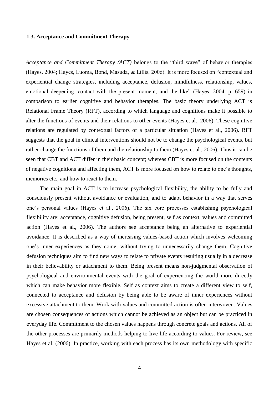#### **1.3. Acceptance and Commitment Therapy**

*Acceptance and Commitment Therapy (ACT)* belongs to the "third wave" of behavior therapies (Hayes, 2004; Hayes, Luoma, Bond, Masuda, & Lillis, 2006). It is more focused on "contextual and experiential change strategies, including acceptance, defusion, mindfulness, relationship, values, emotional deepening, contact with the present moment, and the like" (Hayes, 2004, p. 659) in comparison to earlier cognitive and behavior therapies. The basic theory underlying ACT is Relational Frame Theory (RFT), according to which language and cognitions make it possible to alter the functions of events and their relations to other events (Hayes et al., 2006). These cognitive relations are regulated by contextual factors of a particular situation (Hayes et al., 2006). RFT suggests that the goal in clinical interventions should not be to change the psychological events, but rather change the functions of them and the relationship to them (Hayes et al., 2006). Thus it can be seen that CBT and ACT differ in their basic concept; whereas CBT is more focused on the contents of negative cognitions and affecting them, ACT is more focused on how to relate to one's thoughts, memories etc., and how to react to them.

The main goal in ACT is to increase psychological flexibility, the ability to be fully and consciously present without avoidance or evaluation, and to adapt behavior in a way that serves one's personal values (Hayes et al., 2006). The six core processes establishing psychological flexibility are: acceptance, cognitive defusion, being present, self as context, values and committed action (Hayes et al., 2006). The authors see acceptance being an alternative to experiential avoidance. It is described as a way of increasing values-based action which involves welcoming one's inner experiences as they come, without trying to unnecessarily change them. Cognitive defusion techniques aim to find new ways to relate to private events resulting usually in a decrease in their believability or attachment to them. Being present means non-judgmental observation of psychological and environmental events with the goal of experiencing the world more directly which can make behavior more flexible. Self as context aims to create a different view to self, connected to acceptance and defusion by being able to be aware of inner experiences without excessive attachment to them. Work with values and committed action is often interwoven. Values are chosen consequences of actions which cannot be achieved as an object but can be practiced in everyday life. Commitment to the chosen values happens through concrete goals and actions. All of the other processes are primarily methods helping to live life according to values. For review, see Hayes et al. (2006). In practice, working with each process has its own methodology with specific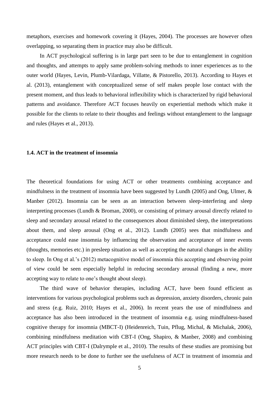metaphors, exercises and homework covering it (Hayes, 2004). The processes are however often overlapping, so separating them in practice may also be difficult.

In ACT psychological suffering is in large part seen to be due to entanglement in cognition and thoughts, and attempts to apply same problem-solving methods to inner experiences as to the outer world (Hayes, Levin, Plumb-Vilardaga, Villatte, & Pistorello, 2013). According to Hayes et al. (2013), entanglement with conceptualized sense of self makes people lose contact with the present moment, and thus leads to behavioral inflexibility which is characterized by rigid behavioral patterns and avoidance. Therefore ACT focuses heavily on experiential methods which make it possible for the clients to relate to their thoughts and feelings without entanglement to the language and rules (Hayes et al., 2013).

## <span id="page-9-0"></span>**1.4. ACT in the treatment of insomnia**

The theoretical foundations for using ACT or other treatments combining acceptance and mindfulness in the treatment of insomnia have been suggested by Lundh (2005) and Ong, Ulmer, & Manber (2012). Insomnia can be seen as an interaction between sleep-interfering and sleep interpreting processes (Lundh & Broman, 2000), or consisting of primary arousal directly related to sleep and secondary arousal related to the consequences about diminished sleep, the interpretations about them, and sleep arousal (Ong et al., 2012). Lundh (2005) sees that mindfulness and acceptance could ease insomnia by influencing the observation and acceptance of inner events (thoughts, memories etc.) in presleep situation as well as accepting the natural changes in the ability to sleep. In Ong et al.'s (2012) metacognitive model of insomnia this accepting and observing point of view could be seen especially helpful in reducing secondary arousal (finding a new, more accepting way to relate to one's thought about sleep).

The third wave of behavior therapies, including ACT, have been found efficient as interventions for various psychological problems such as depression, anxiety disorders, chronic pain and stress (e.g. Ruiz, 2010; Hayes et al., 2006). In recent years the use of mindfulness and acceptance has also been introduced in the treatment of insomnia e.g. using mindfulness-based cognitive therapy for insomnia (MBCT-I) (Heidenreich, Tuin, Pflug, Michal, & Michalak, 2006), combining mindfulness meditation with CBT-I (Ong, Shapiro, & Manber, 2008) and combining ACT principles with CBT-I (Dalrymple et al., 2010). The results of these studies are promising but more research needs to be done to further see the usefulness of ACT in treatment of insomnia and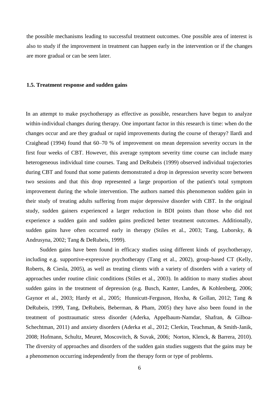the possible mechanisms leading to successful treatment outcomes. One possible area of interest is also to study if the improvement in treatment can happen early in the intervention or if the changes are more gradual or can be seen later.

#### <span id="page-10-0"></span>**1.5. Treatment response and sudden gains**

In an attempt to make psychotherapy as effective as possible, researchers have begun to analyze within-individual changes during therapy. One important factor in this research is time: when do the changes occur and are they gradual or rapid improvements during the course of therapy? Ilardi and Craighead (1994) found that 60–70 % of improvement on mean depression severity occurs in the first four weeks of CBT. However, this average symptom severity time course can include many heterogeneous individual time courses. Tang and DeRubeis (1999) observed individual trajectories during CBT and found that some patients demonstrated a drop in depression severity score between two sessions and that this drop represented a large proportion of the patient's total symptom improvement during the whole intervention. The authors named this phenomenon sudden gain in their study of treating adults suffering from major depressive disorder with CBT. In the original study, sudden gainers experienced a larger reduction in BDI points than those who did not experience a sudden gain and sudden gains predicted better treatment outcomes. Additionally, sudden gains have often occurred early in therapy (Stiles et al., 2003; Tang, Luborsky, & Andrusyna, 2002; Tang & DeRubeis, 1999).

Sudden gains have been found in efficacy studies using different kinds of psychotherapy, including e.g. supportive-expressive psychotherapy (Tang et al., 2002), group-based CT (Kelly, Roberts, & Ciesla, 2005), as well as treating clients with a variety of disorders with a variety of approaches under routine clinic conditions (Stiles et al., 2003). In addition to many studies about sudden gains in the treatment of depression (e.g. Busch, Kanter, Landes, & Kohlenberg, 2006; Gaynor et al., 2003; Hardy et al., 2005; Hunnicutt-Ferguson, Hoxha, & Gollan, 2012; Tang & DeRubeis, 1999, Tang, DeRubeis, Beberman, & Pham, 2005) they have also been found in the treatment of posttraumatic stress disorder (Aderka, Appelbaum-Namdar, Shafran, & Gilboa-Schechtman, 2011) and anxiety disorders (Aderka et al., 2012; Clerkin, Teachman, & Smith-Janik, 2008; Hofmann, Schultz, Meuret, Moscovitch, & Suvak, 2006; Norton, Klenck, & Barrera, 2010). The diversity of approaches and disorders of the sudden gain studies suggests that the gains may be a phenomenon occurring independently from the therapy form or type of problems.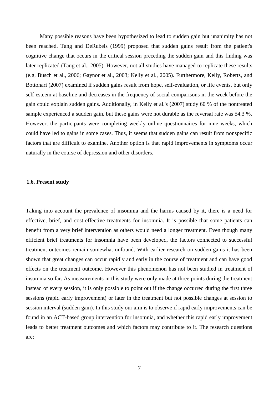Many possible reasons have been hypothesized to lead to sudden gain but unanimity has not been reached. Tang and DeRubeis (1999) proposed that sudden gains result from the patient's cognitive change that occurs in the critical session preceding the sudden gain and this finding was later replicated (Tang et al., 2005). However, not all studies have managed to replicate these results (e.g. Busch et al., 2006; Gaynor et al., 2003; Kelly et al., 2005). Furthermore, Kelly, Roberts, and Bottonari (2007) examined if sudden gains result from hope, self-evaluation, or life events, but only self-esteem at baseline and decreases in the frequency of social comparisons in the week before the gain could explain sudden gains. Additionally, in Kelly et al.'s (2007) study 60 % of the nontreated sample experienced a sudden gain, but these gains were not durable as the reversal rate was 54.3 %. However, the participants were completing weekly online questionnaires for nine weeks, which could have led to gains in some cases. Thus, it seems that sudden gains can result from nonspecific factors that are difficult to examine. Another option is that rapid improvements in symptoms occur naturally in the course of depression and other disorders.

### <span id="page-11-0"></span>**1.6. Present study**

Taking into account the prevalence of insomnia and the harms caused by it, there is a need for effective, brief, and cost-effective treatments for insomnia. It is possible that some patients can benefit from a very brief intervention as others would need a longer treatment. Even though many efficient brief treatments for insomnia have been developed, the factors connected to successful treatment outcomes remain somewhat unfound. With earlier research on sudden gains it has been shown that great changes can occur rapidly and early in the course of treatment and can have good effects on the treatment outcome. However this phenomenon has not been studied in treatment of insomnia so far. As measurements in this study were only made at three points during the treatment instead of every session, it is only possible to point out if the change occurred during the first three sessions (rapid early improvement) or later in the treatment but not possible changes at session to session interval (sudden gain). In this study our aim is to observe if rapid early improvements can be found in an ACT-based group intervention for insomnia, and whether this rapid early improvement leads to better treatment outcomes and which factors may contribute to it. The research questions are: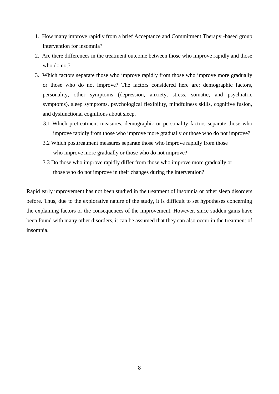- 1. How many improve rapidly from a brief Acceptance and Commitment Therapy -based group intervention for insomnia?
- 2. Are there differences in the treatment outcome between those who improve rapidly and those who do not?
- 3. Which factors separate those who improve rapidly from those who improve more gradually or those who do not improve? The factors considered here are: demographic factors, personality, other symptoms (depression, anxiety, stress, somatic, and psychiatric symptoms), sleep symptoms, psychological flexibility, mindfulness skills, cognitive fusion, and dysfunctional cognitions about sleep.
	- 3.1 Which pretreatment measures, demographic or personality factors separate those who improve rapidly from those who improve more gradually or those who do not improve?
	- 3.2 Which posttreatment measures separate those who improve rapidly from those who improve more gradually or those who do not improve?
	- 3.3 Do those who improve rapidly differ from those who improve more gradually or those who do not improve in their changes during the intervention?

Rapid early improvement has not been studied in the treatment of insomnia or other sleep disorders before. Thus, due to the explorative nature of the study, it is difficult to set hypotheses concerning the explaining factors or the consequences of the improvement. However, since sudden gains have been found with many other disorders, it can be assumed that they can also occur in the treatment of insomnia.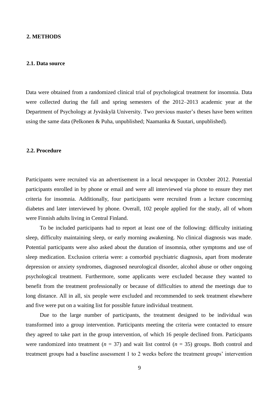#### <span id="page-13-0"></span>**2. METHODS**

#### <span id="page-13-1"></span>**2.1. Data source**

Data were obtained from a randomized clinical trial of psychological treatment for insomnia. Data were collected during the fall and spring semesters of the 2012–2013 academic year at the Department of Psychology at Jyväskylä University. Two previous master's theses have been written using the same data (Pelkonen & Puha, unpublished; Naamanka & Suutari, unpublished)*.*

#### <span id="page-13-2"></span>**2.2. Procedure**

Participants were recruited via an advertisement in a local newspaper in October 2012. Potential participants enrolled in by phone or email and were all interviewed via phone to ensure they met criteria for insomnia. Additionally, four participants were recruited from a lecture concerning diabetes and later interviewed by phone. Overall, 102 people applied for the study, all of whom were Finnish adults living in Central Finland.

To be included participants had to report at least one of the following: difficulty initiating sleep, difficulty maintaining sleep, or early morning awakening. No clinical diagnosis was made. Potential participants were also asked about the duration of insomnia, other symptoms and use of sleep medication. Exclusion criteria were: a comorbid psychiatric diagnosis, apart from moderate depression or anxiety syndromes, diagnosed neurological disorder, alcohol abuse or other ongoing psychological treatment. Furthermore, some applicants were excluded because they wanted to benefit from the treatment professionally or because of difficulties to attend the meetings due to long distance. All in all, six people were excluded and recommended to seek treatment elsewhere and five were put on a waiting list for possible future individual treatment.

Due to the large number of participants, the treatment designed to be individual was transformed into a group intervention. Participants meeting the criteria were contacted to ensure they agreed to take part in the group intervention, of which 16 people declined from. Participants were randomized into treatment ( $n = 37$ ) and wait list control ( $n = 35$ ) groups. Both control and treatment groups had a baseline assessment 1 to 2 weeks before the treatment groups' intervention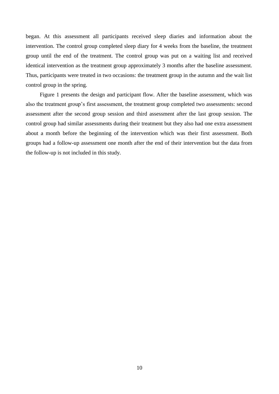began. At this assessment all participants received sleep diaries and information about the intervention. The control group completed sleep diary for 4 weeks from the baseline, the treatment group until the end of the treatment. The control group was put on a waiting list and received identical intervention as the treatment group approximately 3 months after the baseline assessment. Thus, participants were treated in two occasions: the treatment group in the autumn and the wait list control group in the spring.

Figure 1 presents the design and participant flow. After the baseline assessment, which was also the treatment group's first assessment, the treatment group completed two assessments: second assessment after the second group session and third assessment after the last group session. The control group had similar assessments during their treatment but they also had one extra assessment about a month before the beginning of the intervention which was their first assessment. Both groups had a follow-up assessment one month after the end of their intervention but the data from the follow-up is not included in this study.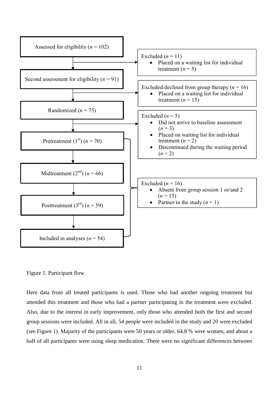

Figure 1. Participant flow.

Here data from all treated participants is used. Those who had another ongoing treatment but attended this treatment and those who had a partner participating in the treatment were excluded. Also, due to the interest in early improvement, only those who attended both the first and second group sessions were included. All in all, 54 people were included in the study and 20 were excluded (see Figure 1). Majority of the participants were 50 years or older, 64.8 % were women, and about a half of all participants were using sleep medication. There were no significant differences between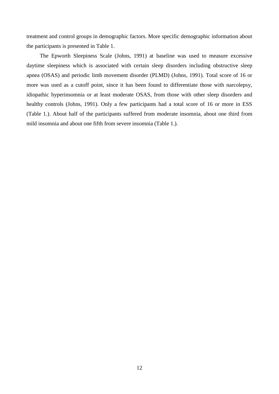treatment and control groups in demographic factors. More specific demographic information about the participants is presented in Table 1.

The Epworth Sleepiness Scale (Johns, 1991) at baseline was used to measure excessive daytime sleepiness which is associated with certain sleep disorders including obstructive sleep apnea (OSAS) and periodic limb movement disorder (PLMD) (Johns, 1991). Total score of 16 or more was used as a cutoff point, since it has been found to differentiate those with narcolepsy, idiopathic hyperinsomnia or at least moderate OSAS, from those with other sleep disorders and healthy controls (Johns, 1991). Only a few participants had a total score of 16 or more in ESS (Table 1.). About half of the participants suffered from moderate insomnia, about one third from mild insomnia and about one fifth from severe insomnia (Table 1.).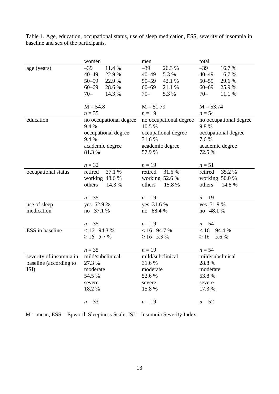|                         | women                  | men                    | total                  |  |
|-------------------------|------------------------|------------------------|------------------------|--|
| age (years)             | 11.4 %<br>$-39$        | 26.3%<br>$-39$         | $-39$<br>16.7%         |  |
|                         | $40 - 49$<br>22.9 %    | 5.3 %<br>$40 - 49$     | $40 - 49$<br>16.7%     |  |
|                         | $50 - 59$<br>22.9 %    | $50 - 59$<br>42.1 %    | $50 - 59$<br>29.6 %    |  |
|                         | 28.6%<br>$60 - 69$     | $60 - 69$<br>21.1 %    | $60 - 69$<br>25.9%     |  |
|                         | $70 -$<br>14.3 %       | $70 -$<br>5.3 %        | $70 -$<br>11.1 %       |  |
|                         |                        |                        |                        |  |
|                         | $M = 54.8$             | $M = 51.79$            | $M = 53.74$            |  |
|                         | $n=35$                 | $n = 19$               | $n = 54$               |  |
| education               | no occupational degree | no occupational degree | no occupational degree |  |
|                         | 9.4 %                  | 10.5 %                 | 9.8%                   |  |
|                         | occupational degree    | occupational degree    | occupational degree    |  |
|                         | 9.4 %                  | 31.6%                  | 7.6 %                  |  |
|                         | academic degree        | academic degree        | academic degree        |  |
|                         | 81.3%                  | 57.9 %                 | 72.5 %                 |  |
|                         |                        |                        |                        |  |
|                         | $n = 32$               | $n = 19$               | $n=51$                 |  |
| occupational status     | 37.1 %<br>retired      | 31.6%<br>retired       | 35.2%<br>retired       |  |
|                         | working $48.6%$        | working 52.6 %         | working 50.0 %         |  |
|                         | others<br>14.3 %       | others<br>15.8 %       | others<br>14.8 %       |  |
|                         |                        |                        |                        |  |
|                         | $n = 35$               | $n = 19$               | $n=19$                 |  |
| use of sleep            | yes 62.9 %             | yes 31.6 %             | yes 51.9 %             |  |
| medication              | no 37.1 %              | no 68.4 %              | no 48.1 %              |  |
|                         |                        |                        |                        |  |
|                         | $n = 35$               | $n=19$                 | $n = 54$               |  |
| ESS in baseline         | $< 16$ 94.3 %          | $< 16$ 94.7 %          | < 16<br>94.4 %         |  |
|                         | $\geq$ 16 5.7%         | $\geq 16$ 5.3%         | 5.6 %<br>$\geq 16$     |  |
|                         |                        |                        |                        |  |
|                         | $n = 35$               | $n=19$                 | $n = 54$               |  |
| severity of insomnia in | mild/subclinical       | mild/subclinical       | mild/subclinical       |  |
| baseline (according to  | 27.3 %                 | 31.6 %                 | 28.8 %                 |  |
| ISI)                    | moderate               | moderate               | moderate               |  |
|                         | 54.5 %                 | 52.6%                  | 53.8%                  |  |
|                         | severe                 | severe                 | severe                 |  |
|                         | 18.2 %                 | 15.8 %                 | 17.3 %                 |  |
|                         |                        |                        |                        |  |
|                         | $n = 33$               | $n = 19$               | $n = 52$               |  |

Table 1. Age, education, occupational status, use of sleep medication, ESS, severity of insomnia in baseline and sex of the participants.

<span id="page-17-0"></span>M = mean, ESS = Epworth Sleepiness Scale, ISI = Insomnia Severity Index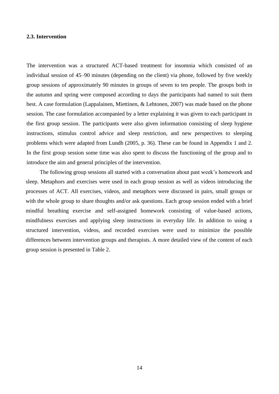#### **2.3. Intervention**

The intervention was a structured ACT-based treatment for insomnia which consisted of an individual session of 45–90 minutes (depending on the client) via phone, followed by five weekly group sessions of approximately 90 minutes in groups of seven to ten people. The groups both in the autumn and spring were composed according to days the participants had named to suit them best. A case formulation (Lappalainen, Miettinen, & Lehtonen, 2007) was made based on the phone session. The case formulation accompanied by a letter explaining it was given to each participant in the first group session. The participants were also given information consisting of sleep hygiene instructions, stimulus control advice and sleep restriction, and new perspectives to sleeping problems which were adapted from Lundh (2005, p. 36). These can be found in Appendix 1 and 2. In the first group session some time was also spent to discuss the functioning of the group and to introduce the aim and general principles of the intervention.

The following group sessions all started with a conversation about past week's homework and sleep. Metaphors and exercises were used in each group session as well as videos introducing the processes of ACT. All exercises, videos, and metaphors were discussed in pairs, small groups or with the whole group to share thoughts and/or ask questions. Each group session ended with a brief mindful breathing exercise and self-assigned homework consisting of value-based actions, mindfulness exercises and applying sleep instructions in everyday life. In addition to using a structured intervention, videos, and recorded exercises were used to minimize the possible differences between intervention groups and therapists. A more detailed view of the content of each group session is presented in Table 2.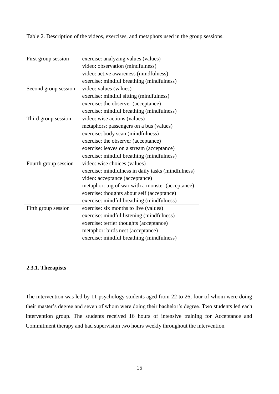Table 2. Description of the videos, exercises, and metaphors used in the group sessions.

| First group session  | exercise: analyzing values (values)                |
|----------------------|----------------------------------------------------|
|                      | video: observation (mindfulness)                   |
|                      | video: active awareness (mindfulness)              |
|                      | exercise: mindful breathing (mindfulness)          |
| Second group session | video: values (values)                             |
|                      | exercise: mindful sitting (mindfulness)            |
|                      | exercise: the observer (acceptance)                |
|                      | exercise: mindful breathing (mindfulness)          |
| Third group session  | video: wise actions (values)                       |
|                      | metaphors: passengers on a bus (values)            |
|                      | exercise: body scan (mindfulness)                  |
|                      | exercise: the observer (acceptance)                |
|                      | exercise: leaves on a stream (acceptance)          |
|                      | exercise: mindful breathing (mindfulness)          |
| Fourth group session | video: wise choices (values)                       |
|                      | exercise: mindfulness in daily tasks (mindfulness) |
|                      | video: acceptance (acceptance)                     |
|                      | metaphor: tug of war with a monster (acceptance)   |
|                      | exercise: thoughts about self (acceptance)         |
|                      | exercise: mindful breathing (mindfulness)          |
| Fifth group session  | exercise: six months to live (values)              |
|                      | exercise: mindful listening (mindfulness)          |
|                      | exercise: terrier thoughts (acceptance)            |
|                      | metaphor: birds nest (acceptance)                  |
|                      | exercise: mindful breathing (mindfulness)          |

## <span id="page-19-0"></span>**2.3.1. Therapists**

The intervention was led by 11 psychology students aged from 22 to 26, four of whom were doing their master's degree and seven of whom were doing their bachelor's degree. Two students led each intervention group. The students received 16 hours of intensive training for Acceptance and Commitment therapy and had supervision two hours weekly throughout the intervention.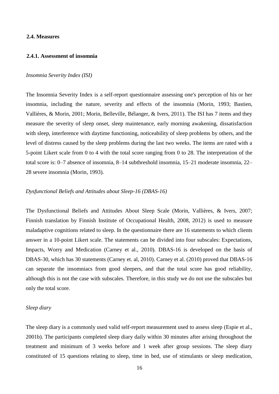#### <span id="page-20-0"></span>**2.4. Measures**

### <span id="page-20-1"></span>**2.4.1. Assessment of insomnia**

#### *Insomnia Severity Index (ISI)*

The Insomnia Severity Index is a self-report questionnaire assessing one's perception of his or her insomnia, including the nature, severity and effects of the insomnia (Morin, 1993; Bastien, Vallières, & Morin, 2001; Morin, Belleville, Bélanger, & Ivers, 2011). The ISI has 7 items and they measure the severity of sleep onset, sleep maintenance, early morning awakening, dissatisfaction with sleep, interference with daytime functioning, noticeability of sleep problems by others, and the level of distress caused by the sleep problems during the last two weeks. The items are rated with a 5-point Likert scale from 0 to 4 with the total score ranging from 0 to 28. The interpretation of the total score is: 0–7 absence of insomnia, 8–14 subthreshold insomnia, 15–21 moderate insomnia, 22– 28 severe insomnia (Morin, 1993).

#### *Dysfunctional Beliefs and Attitudes about Sleep-16 (DBAS-16)*

 The Dysfunctional Beliefs and Attitudes About Sleep Scale (Morin, Vallières, & Ivers, 2007; Finnish translation by Finnish Institute of Occupational Health, 2008, 2012) is used to measure maladaptive cognitions related to sleep. In the questionnaire there are 16 statements to which clients answer in a 10-point Likert scale. The statements can be divided into four subscales: Expectations, Impacts, Worry and Medication (Carney et al., 2010). DBAS-16 is developed on the basis of DBAS-30, which has 30 statements (Carney et. al, 2010). Carney et al. (2010) proved that DBAS-16 can separate the insomniacs from good sleepers, and that the total score has good reliability, although this is not the case with subscales. Therefore, in this study we do not use the subscales but only the total score.

#### *Sleep diary*

The sleep diary is a commonly used valid self-report measurement used to assess sleep (Espie et al., 2001b). The participants completed sleep diary daily within 30 minutes after arising throughout the treatment and minimum of 3 weeks before and 1 week after group sessions. The sleep diary constituted of 15 questions relating to sleep, time in bed, use of stimulants or sleep medication,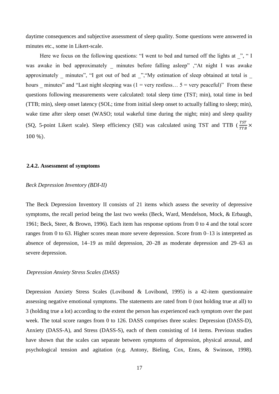daytime consequences and subjective assessment of sleep quality. Some questions were answered in minutes etc., some in Likert-scale.

Here we focus on the following questions: "I went to bed and turned off the lights at ", " I was awake in bed approximately \_ minutes before falling asleep" ,"At night I was awake approximately minutes", "I got out of bed at ", "My estimation of sleep obtained at total is hours minutes" and "Last night sleeping was (1 = very restless...  $5$  = very peaceful)" From these questions following measurements were calculated: total sleep time (TST; min), total time in bed (TTB; min), sleep onset latency (SOL; time from initial sleep onset to actually falling to sleep; min), wake time after sleep onset (WASO; total wakeful time during the night; min) and sleep quality (SQ, 5-point Likert scale). Sleep efficiency (SE) was calculated using TST and TTB ( $\frac{7}{\pi}$  $rac{151}{TTB}$   $\times$  $100\%$ ).

#### <span id="page-21-0"></span>**2.4.2. Assessment of symptoms**

#### *Beck Depression Inventory (BDI-II)*

 The Beck Depression Inventory II consists of 21 items which assess the severity of depressive symptoms, the recall period being the last two weeks (Beck, Ward, Mendelson, Mock, & Erbaugh, 1961; Beck, Steer, & Brown, 1996). Each item has response options from 0 to 4 and the total score ranges from 0 to 63. Higher scores mean more severe depression. Score from 0–13 is interpreted as absence of depression, 14–19 as mild depression, 20–28 as moderate depression and 29–63 as severe depression.

#### *Depression Anxiety Stress Scales (DASS)*

Depression Anxiety Stress Scales (Lovibond & Lovibond, 1995) is a 42-item questionnaire assessing negative emotional symptoms. The statements are rated from 0 (not holding true at all) to 3 (holding true a lot) according to the extent the person has experienced each symptom over the past week. The total score ranges from 0 to 126. DASS comprises three scales: Depression (DASS-D), Anxiety (DASS-A), and Stress (DASS-S), each of them consisting of 14 items. Previous studies have shown that the scales can separate between symptoms of depression, physical arousal, and psychological tension and agitation (e.g. Antony, Bieling, Cox, Enns, & Swinson, 1998).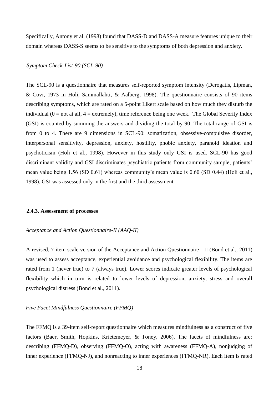Specifically, Antony et al. (1998) found that DASS-D and DASS-A measure features unique to their domain whereas DASS-S seems to be sensitive to the symptoms of both depression and anxiety.

#### *Symptom Check-List-90 (SCL-90)*

The SCL-90 is a questionnaire that measures self-reported symptom intensity (Derogatis, Lipman, & Covi, 1973 in Holi, Sammallahti, & Aalberg, 1998). The questionnaire consists of 90 items describing symptoms, which are rated on a 5-point Likert scale based on how much they disturb the individual  $(0 = not at all, 4 = extremely)$ , time reference being one week. The Global Severity Index (GSI) is counted by summing the answers and dividing the total by 90. The total range of GSI is from 0 to 4. There are 9 dimensions in SCL-90: somatization, obsessive-compulsive disorder, interpersonal sensitivity, depression, anxiety, hostility, phobic anxiety, paranoid ideation and psychoticism (Holi et al., 1998). However in this study only GSI is used. SCL-90 has good discriminant validity and GSI discriminates psychiatric patients from community sample, patients' mean value being 1.56 (SD 0.61) whereas community's mean value is 0.60 (SD 0.44) (Holi et al., 1998). GSI was assessed only in the first and the third assessment*.* 

#### <span id="page-22-0"></span>**2.4.3. Assessment of processes**

#### *Acceptance and Action Questionnaire-II (AAQ-II)*

A revised, 7-item scale version of the Acceptance and Action Questionnaire - II (Bond et al., 2011) was used to assess acceptance, experiential avoidance and psychological flexibility. The items are rated from 1 (never true) to 7 (always true). Lower scores indicate greater levels of psychological flexibility which in turn is related to lower levels of depression, anxiety, stress and overall psychological distress (Bond et al., 2011).

#### *Five Facet Mindfulness Questionnaire (FFMQ)*

The FFMQ is a 39-item self-report questionnaire which measures mindfulness as a construct of five factors (Baer, Smith, Hopkins, Krietemeyer, & Toney, 2006). The facets of mindfulness are: describing (FFMQ-D), observing (FFMQ-O), acting with awareness (FFMQ-A), nonjudging of inner experience (FFMQ-NJ), and nonreacting to inner experiences (FFMQ-NR). Each item is rated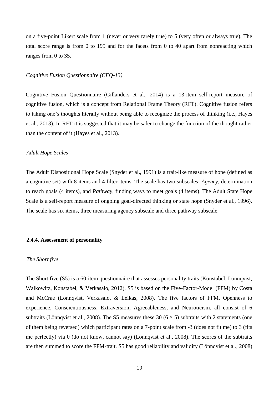on a five-point Likert scale from 1 (never or very rarely true) to 5 (very often or always true). The total score range is from 0 to 195 and for the facets from 0 to 40 apart from nonreacting which ranges from 0 to 35.

### *Cognitive Fusion Questionnaire (CFQ-13)*

Cognitive Fusion Questionnaire (Gillanders et al., 2014) is a 13-item self-report measure of cognitive fusion, which is a concept from Relational Frame Theory (RFT). Cognitive fusion refers to taking one's thoughts literally without being able to recognize the process of thinking (i.e., Hayes et al., 2013). In RFT it is suggested that it may be safer to change the function of the thought rather than the content of it (Hayes et al., 2013).

#### *Adult Hope Scales*

 The Adult Dispositional Hope Scale (Snyder et al., 1991) is a trait-like measure of hope (defined as a cognitive set) with 8 items and 4 filter items. The scale has two subscales; *Agency*, determination to reach goals (4 items), and *Pathway*, finding ways to meet goals (4 items). The Adult State Hope Scale is a self-report measure of ongoing goal-directed thinking or state hope (Snyder et al., 1996). The scale has six items, three measuring agency subscale and three pathway subscale.

#### <span id="page-23-0"></span>**2.4.4. Assessment of personality**

#### *The Short five*

The Short five (S5) is a 60-item questionnaire that assesses personality traits (Konstabel, Lönnqvist, Walkowitz, Konstabel, & Verkasalo, 2012). S5 is based on the Five-Factor-Model (FFM) by Costa and McCrae (Lönnqvist, Verkasalo, & Leikas, 2008). The five factors of FFM, Openness to experience, Conscientiousness, Extraversion, Agreeableness, and Neuroticism, all consist of 6 subtraits (Lönnqvist et al., 2008). The S5 measures these 30 ( $6 \times 5$ ) subtraits with 2 statements (one of them being reversed) which participant rates on a 7-point scale from -3 (does not fit me) to 3 (fits me perfectly) via 0 (do not know, cannot say) (Lönnqvist et al., 2008). The scores of the subtraits are then summed to score the FFM-trait. S5 has good reliability and validity (Lönnqvist et al., 2008)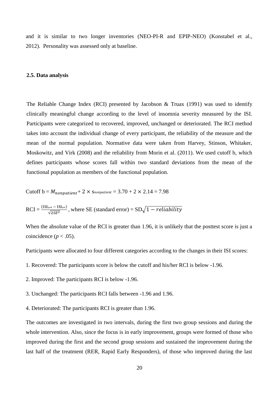and it is similar to two longer inventories (NEO-PI-R and EPIP-NEO) (Konstabel et al., 2012). Personality was assessed only at baseline.

#### <span id="page-24-0"></span>**2.5. Data analysis**

The Reliable Change Index (RCI) presented by Jacobson & Truax (1991) was used to identify clinically meaningful change according to the level of insomnia severity measured by the ISI. Participants were categorized to recovered, improved, unchanged or deteriorated. The RCI method takes into account the individual change of every participant, the reliability of the measure and the mean of the normal population. Normative data were taken from Harvey, Stinson, Whitaker, Moskowitz, and Virk (2008) and the reliability from Morin et al. (2011). We used cutoff b, which defines participants whose scores fall within two standard deviations from the mean of the functional population as members of the functional population.

$$
Cutoff b = M_{nonpatient} + 2 \times S_{nonpatient} = 3.70 + 2 \times 2.14 = 7.98
$$

$$
RCI = \frac{(ISI_{\text{post}} - ISI_{\text{pre}})}{\sqrt{2SE^2}}
$$
, where SE (standard error) = SD $\sqrt{1 - reliability}$ 

When the absolute value of the RCI is greater than 1.96, it is unlikely that the posttest score is just a coincidence ( $p < .05$ ).

Participants were allocated to four different categories according to the changes in their ISI scores:

- 1. Recovered: The participants score is below the cutoff and his/her RCI is below -1.96.
- 2. Improved: The participants RCI is below -1.96.
- 3. Unchanged: The participants RCI falls between -1.96 and 1.96.
- 4. Deteriorated: The participants RCI is greater than 1.96.

The outcomes are investigated in two intervals, during the first two group sessions and during the whole intervention. Also, since the focus is in early improvement, groups were formed of those who improved during the first and the second group sessions and sustained the improvement during the last half of the treatment (RER, Rapid Early Responders), of those who improved during the last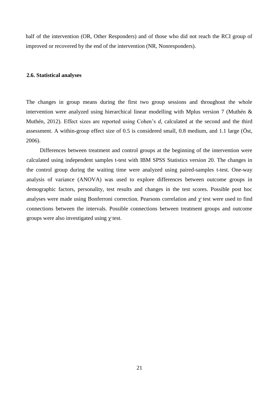half of the intervention (OR, Other Responders) and of those who did not reach the RCI group of improved or recovered by the end of the intervention (NR, Nonresponders).

#### <span id="page-25-0"></span>**2.6. Statistical analyses**

The changes in group means during the first two group sessions and throughout the whole intervention were analyzed using hierarchical linear modelling with Mplus version 7 (Muthén & Muthén, 2012). Effect sizes are reported using Cohen's *d*, calculated at the second and the third assessment. A within-group effect size of 0.5 is considered small, 0.8 medium, and 1.1 large (Öst, 2006).

Differences between treatment and control groups at the beginning of the intervention were calculated using independent samples t-test with IBM SPSS Statistics version 20. The changes in the control group during the waiting time were analyzed using paired-samples t-test. One-way analysis of variance (ANOVA) was used to explore differences between outcome groups in demographic factors, personality, test results and changes in the test scores. Possible post hoc analyses were made using Bonferroni correction. Pearsons correlation and  $\chi^2$  test were used to find connections between the intervals. Possible connections between treatment groups and outcome groups were also investigated using  $\chi^2$  test.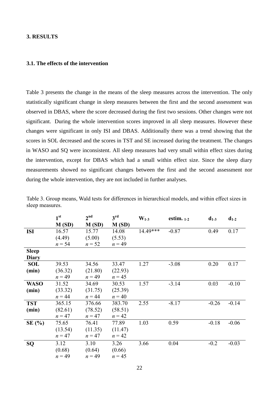## <span id="page-26-0"></span>**3. RESULTS**

#### <span id="page-26-1"></span>**3.1. The effects of the intervention**

Table 3 presents the change in the means of the sleep measures across the intervention. The only statistically significant change in sleep measures between the first and the second assessment was observed in DBAS, where the score decreased during the first two sessions. Other changes were not significant. During the whole intervention scores improved in all sleep measures. However these changes were significant in only ISI and DBAS. Additionally there was a trend showing that the scores in SOL decreased and the scores in TST and SE increased during the treatment. The changes in WASO and SQ were inconsistent. All sleep measures had very small within effect sizes during the intervention, except for DBAS which had a small within effect size. Since the sleep diary measurements showed no significant changes between the first and the second assessment nor during the whole intervention, they are not included in further analyses.

|              | 1 <sup>st</sup> | 2 <sup>nd</sup> | 3 <sup>rd</sup> | $W_{1-3}$ | estim. $1-2$ | $d_{1-3}$ | $d_{1-2}$ |
|--------------|-----------------|-----------------|-----------------|-----------|--------------|-----------|-----------|
|              | M(SD)           | M(SD)           | M(SD)           |           |              |           |           |
| <b>ISI</b>   | 16.57           | 15.77           | 14.08           | 14.49***  | $-0.87$      | 0.49      | 0.17      |
|              | (4.49)          | (5.00)          | (5.53)          |           |              |           |           |
|              | $n = 54$        | $n = 52$        | $n = 49$        |           |              |           |           |
| <b>Sleep</b> |                 |                 |                 |           |              |           |           |
| <b>Diary</b> |                 |                 |                 |           |              |           |           |
| <b>SOL</b>   | 39.53           | 34.56           | 33.47           | 1.27      | $-3.08$      | 0.20      | 0.17      |
| (min)        | (36.32)         | (21.80)         | (22.93)         |           |              |           |           |
|              | $n = 49$        | $n = 49$        | $n = 45$        |           |              |           |           |
| <b>WASO</b>  | 31.52           | 34.69           | 30.53           | 1.57      | $-3.14$      | 0.03      | $-0.10$   |
| (min)        | (33.32)         | (31.75)         | (25.39)         |           |              |           |           |
|              | $n = 44$        | $n = 44$        | $n = 40$        |           |              |           |           |
| <b>TST</b>   | 365.15          | 376.66          | 383.70          | 2.55      | $-8.17$      | $-0.26$   | $-0.14$   |
| (min)        | (82.61)         | (78.52)         | (58.51)         |           |              |           |           |
|              | $n = 47$        | $n = 47$        | $n = 42$        |           |              |           |           |
| SE(%)        | 75.65           | 76.41           | 77.89           | 1.03      | 0.59         | $-0.18$   | $-0.06$   |
|              | (13.54)         | (11.35)         | (11.47)         |           |              |           |           |
|              | $n = 47$        | $n = 47$        | $n = 42$        |           |              |           |           |
| SQ           | 3.12            | 3.10            | 3.26            | 3.66      | 0.04         | $-0.2$    | $-0.03$   |
|              | (0.68)          | (0.64)          | (0.66)          |           |              |           |           |
|              | $n = 49$        | $n = 49$        | $n = 45$        |           |              |           |           |

Table 3. Group means, Wald tests for differences in hierarchical models, and within effect sizes in sleep measures.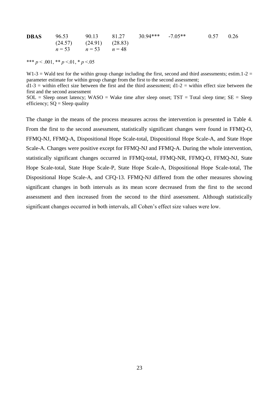|                               |  | <b>DBAS</b> 96.53 90.13 81.27 30.94*** -7.05** | $0.57$ 0.26 |  |
|-------------------------------|--|------------------------------------------------|-------------|--|
| $(24.57)$ $(24.91)$ $(28.83)$ |  |                                                |             |  |
| $n = 53$ $n = 53$ $n = 48$    |  |                                                |             |  |

\*\*\* *p* < .001, \*\* *p* <.01, \* *p* <.05

 $W1-3 = W$ ald test for the within group change including the first, second and third assessments; estim.1-2 = parameter estimate for within group change from the first to the second assessment;  $d1-3$  = within effect size between the first and the third assessment;  $d1-2$  = within effect size between the first and the second assessment

 $SOL = Sleep onset latency; WASO = Wake time after sleep onset; TST = Total sleep time; SE = Sleep$ efficiency;  $SQ = S$ leep quality

The change in the means of the process measures across the intervention is presented in Table 4. From the first to the second assessment, statistically significant changes were found in FFMQ-O, FFMQ-NJ, FFMQ-A, Dispositional Hope Scale-total, Dispositional Hope Scale-A, and State Hope Scale-A. Changes were positive except for FFMQ-NJ and FFMQ-A. During the whole intervention, statistically significant changes occurred in FFMQ-total, FFMQ-NR, FFMQ-O, FFMQ-NJ, State Hope Scale-total, State Hope Scale-P, State Hope Scale-A, Dispositional Hope Scale-total, The Dispositional Hope Scale-A, and CFQ-13. FFMQ-NJ differed from the other measures showing significant changes in both intervals as its mean score decreased from the first to the second assessment and then increased from the second to the third assessment. Although statistically significant changes occurred in both intervals, all Cohen's effect size values were low.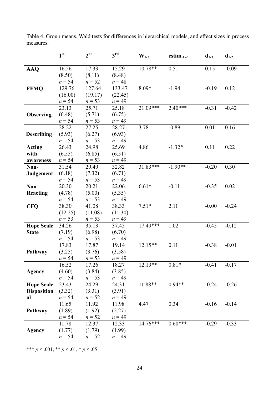|                    | 1 <sup>st</sup> | 2 <sup>nd</sup> | $3^{\text{rd}}$    | $W_{1-3}$  | estim. $_{1-2}$ | $d_{1-3}$ | $d_{1-2}$ |
|--------------------|-----------------|-----------------|--------------------|------------|-----------------|-----------|-----------|
| <b>AAQ</b>         | 16.56           | 17.33           | 15.29              | 10.78**    | 0.51            | 0.15      | $-0.09$   |
|                    | (8.50)          | (8.11)          | (8.48)             |            |                 |           |           |
|                    | $n = 54$        | $n = 52$        | $n = 48$           |            |                 |           |           |
| <b>FFMQ</b>        | 129.76          | 127.64          | 133.47             | 8.09*      | $-1.94$         | $-0.19$   | 0.12      |
|                    | (16.00)         | (19.17)         | (22.45)            |            |                 |           |           |
|                    | $n = 54$        | $n = 53$        | $n = 49$           |            |                 |           |           |
|                    | 23.13           | 25.71           | 25.18              | $21.09***$ | $2.40***$       | $-0.31$   | $-0.42$   |
| <b>Observing</b>   | (6.48)          | (5.71)          | (6.75)             |            |                 |           |           |
|                    | $n = 54$        | $n = 53$        | $n = 49$           |            |                 |           |           |
|                    | 28.22           | 27.25           | 28.27              | 3.78       | $-0.89$         | 0.01      | 0.16      |
| <b>Describing</b>  | (5.93)          | (6.27)          | (6.93)             |            |                 |           |           |
|                    | $n = 54$        | $n = 53$        | $n = 49$           |            |                 |           |           |
| <b>Acting</b>      | 26.43           | 24.98           | 25.69              | 4.86       | $-1.32*$        | 0.11      | 0.22      |
| with               | (6.55)          | (6.85)          | (6.51)             |            |                 |           |           |
| awareness          | $n = 54$        | $n = 53$        | $n = 49$           |            |                 |           |           |
| Non-               | 31.54           | 29.49           | 32.82              | 31.83***   | $-1.90**$       | $-0.20$   | 0.30      |
| Judgement          | (6.18)          | (7.32)          | (6.71)             |            |                 |           |           |
|                    | $n = 54$        | $n = 53$        | $n = 49$           |            |                 |           |           |
| Non-               | 20.30           | 20.21           | 22.06              | $6.61*$    | $-0.11$         | $-0.35$   | 0.02      |
| <b>Reacting</b>    | (4.78)          | (5.00)          | (5.35)             |            |                 |           |           |
|                    | $n = 54$        | $n = 53$        | $n = 49$           |            |                 |           |           |
| <b>CFQ</b>         | 38.30           | 41.08           | 38.33              | $7.51*$    | 2.11            | $-0.00$   | $-0.24$   |
|                    | (12.25)         | (11.08)         | (11.30)            |            |                 |           |           |
|                    | $n = 53$        | $n = 53$        | $n = 49$           |            |                 |           |           |
| <b>Hope Scale</b>  | 34.26           | 35.13           | 37.45              | $17.49***$ | 1.02            | $-0.45$   | $-0.12$   |
| <b>State</b>       | (7.19)          | (6.98)          | (6.70)             |            |                 |           |           |
|                    | $n = 54$        | $n = 53$        | $n = 49$           |            |                 |           |           |
|                    | 17.83           | 17.87           | 19.14              | $12.15**$  | 0.11            | $-0.38$   | $-0.01$   |
| Pathway            | (3.25)          | (3.76)          | (3.58)             |            |                 |           |           |
|                    | $n = 54$        | $n = 53$        | $n = 49$           |            |                 |           |           |
|                    | 16.52           | 17.26           | 18.27              | 12.19**    | $0.81*$         | $-0.41$   | $-0.17$   |
| <b>Agency</b>      | (4.60)          | (3.84)          | (3.85)             |            |                 |           |           |
|                    | $n = 54$        | $n = 53$        | $n = 49$           |            |                 |           |           |
| <b>Hope Scale</b>  | 23.43           | 24.29           | 24.31              | 11.88**    | $0.94**$        | $-0.24$   | $-0.26$   |
| <b>Disposition</b> | (3.32)          | (3.31)          | (3.91)             |            |                 |           |           |
| al                 | $n = 54$        | $n = 52$        | $n = 49$           |            |                 |           |           |
|                    | 11.65           | 11.92           | 11.98              | 4.47       | 0.34            | $-0.16$   | $-0.14$   |
| Pathway            | (1.89)          | (1.92)          | (2.27)<br>$n = 49$ |            |                 |           |           |
|                    | $n = 54$        | $n = 52$        |                    | $14.76***$ | $0.60***$       |           |           |
|                    | 11.78           | 12.37           | 12.33              |            |                 | $-0.29$   | $-0.33$   |
| <b>Agency</b>      | (1.77)          | (1.79)          | (1.99)             |            |                 |           |           |
|                    | $n = 54$        | $n = 52$        | $n = 49$           |            |                 |           |           |

Table 4. Group means, Wald tests for differences in hierarchical models, and effect sizes in process measures.

\*\*\* *p* < .001, \*\* *p* < .01, \* *p* < .05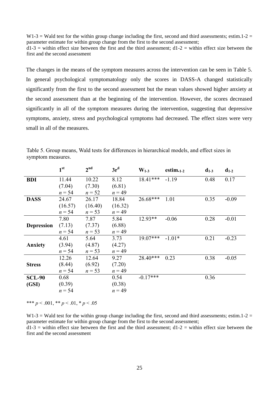$W1-3 = W$ ald test for the within group change including the first, second and third assessments; estim.1-2 = parameter estimate for within group change from the first to the second assessment;  $d1-3$  = within effect size between the first and the third assessment;  $d1-2$  = within effect size between the first and the second assessment

The changes in the means of the symptom measures across the intervention can be seen in Table 5. In general psychological symptomatology only the scores in DASS-A changed statistically significantly from the first to the second assessment but the mean values showed higher anxiety at the second assessment than at the beginning of the intervention. However, the scores decreased significantly in all of the symptom measures during the intervention, suggesting that depressive symptoms, anxiety, stress and psychological symptoms had decreased. The effect sizes were very small in all of the measures.

|                   | 1 <sup>st</sup> | 2 <sup>nd</sup> | 3r <sup>d</sup> | $W_{1,3}$  | estim. $_{1.2}$ | $d_{1-3}$ | $d_{1-2}$ |
|-------------------|-----------------|-----------------|-----------------|------------|-----------------|-----------|-----------|
| <b>BDI</b>        | 11.44           | 10.22           | 8.12            | $18.41***$ | $-1.19$         | 0.48      | 0.17      |
|                   | (7.04)          | (7.30)          | (6.81)          |            |                 |           |           |
|                   | $n = 54$        | $n = 52$        | $n = 49$        |            |                 |           |           |
| <b>DASS</b>       | 24.67           | 26.17           | 18.84           | 26.68***   | 1.01            | 0.35      | $-0.09$   |
|                   | (16.57)         | (16.40)         | (16.32)         |            |                 |           |           |
|                   | $n = 54$        | $n = 53$        | $n = 49$        |            |                 |           |           |
|                   | 7.80            | 7.87            | 5.84            | $12.93**$  | $-0.06$         | 0.28      | $-0.01$   |
| <b>Depression</b> | (7.13)          | (7.37)          | (6.88)          |            |                 |           |           |
|                   | $n = 54$        | $n = 53$        | $n = 49$        |            |                 |           |           |
|                   | 4.61            | 5.64            | 3.73            | $19.07***$ | $-1.01*$        | 0.21      | $-0.23$   |
| Anxiety           | (3.94)          | (4.87)          | (4.27)          |            |                 |           |           |
|                   | $n = 54$        | $n = 53$        | $n = 49$        |            |                 |           |           |
|                   | 12.26           | 12.64           | 9.27            | 28.40***   | 0.23            | 0.38      | $-0.05$   |
| <b>Stress</b>     | (8.44)          | (6.92)          | (7.20)          |            |                 |           |           |
|                   | $n = 54$        | $n = 53$        | $n = 49$        |            |                 |           |           |
| <b>SCL-90</b>     | 0.68            |                 | 0.54            | $-0.17***$ |                 | 0.36      |           |
| (GSI)             | (0.39)          |                 | (0.38)          |            |                 |           |           |
|                   | $n = 54$        |                 | $n = 49$        |            |                 |           |           |

Table 5. Group means, Wald tests for differences in hierarchical models, and effect sizes in symptom measures.

\*\*\*  $p < .001$ , \*\*  $p < .01$ , \*  $p < .05$ 

W1-3 = Wald test for the within group change including the first, second and third assessments; estim.1-2 = parameter estimate for within group change from the first to the second assessment;  $d1-3$  = within effect size between the first and the third assessment;  $d1-2$  = within effect size between the first and the second assessment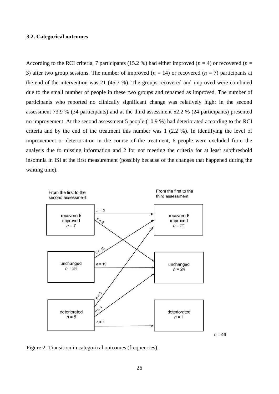#### <span id="page-30-0"></span>**3.2. Categorical outcomes**

According to the RCI criteria, 7 participants (15.2 %) had either improved ( $n = 4$ ) or recovered ( $n = 1$ ) 3) after two group sessions. The number of improved  $(n = 14)$  or recovered  $(n = 7)$  participants at the end of the intervention was 21 (45.7 %). The groups recovered and improved were combined due to the small number of people in these two groups and renamed as improved. The number of participants who reported no clinically significant change was relatively high: in the second assessment 73.9 % (34 participants) and at the third assessment 52.2 % (24 participants) presented no improvement. At the second assessment 5 people (10.9 %) had deteriorated according to the RCI criteria and by the end of the treatment this number was 1 (2.2 %). In identifying the level of improvement or deterioration in the course of the treatment, 6 people were excluded from the analysis due to missing information and 2 for not meeting the criteria for at least subthreshold insomnia in ISI at the first measurement (possibly because of the changes that happened during the waiting time).



Figure 2. Transition in categorical outcomes (frequencies).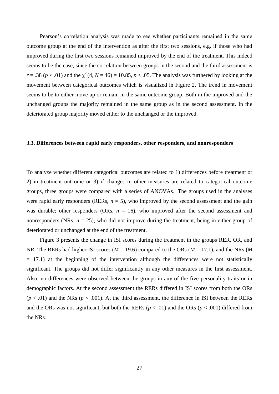Pearson's correlation analysis was made to see whether participants remained in the same outcome group at the end of the intervention as after the first two sessions, e.g. if those who had improved during the first two sessions remained improved by the end of the treatment. This indeed seems to be the case, since the correlation between groups in the second and the third assessment is  $r = .38$  ( $p < .01$ ) and the  $\chi^2$  (4,  $N = 46$ ) = 10.85,  $p < .05$ . The analysis was furthered by looking at the movement between categorical outcomes which is visualized in Figure 2. The trend in movement seems to be to either move up or remain in the same outcome group. Both in the improved and the unchanged groups the majority remained in the same group as in the second assessment. In the deteriorated group majority moved either to the unchanged or the improved.

#### <span id="page-31-0"></span>**3.3. Differences between rapid early responders, other responders, and nonresponders**

To analyze whether different categorical outcomes are related to 1) differences before treatment or 2) in treatment outcome or 3) if changes in other measures are related to categorical outcome groups, three groups were compared with a series of ANOVAs. The groups used in the analyses were rapid early responders (RERs,  $n = 5$ ), who improved by the second assessment and the gain was durable; other responders (ORs,  $n = 16$ ), who improved after the second assessment and nonresponders (NRs,  $n = 25$ ), who did not improve during the treatment, being in either group of deteriorated or unchanged at the end of the treatment.

Figure 3 presents the change in ISI scores during the treatment in the groups RER, OR, and NR. The RERs had higher ISI scores (*M* = 19.6) compared to the ORs (*M* = 17.1), and the NRs (*M*  $= 17.1$ ) at the beginning of the intervention although the differences were not statistically significant. The groups did not differ significantly in any other measures in the first assessment. Also, no differences were observed between the groups in any of the five personality traits or in demographic factors. At the second assessment the RERs differed in ISI scores from both the ORs  $(p < .01)$  and the NRs  $(p < .001)$ . At the third assessment, the difference in ISI between the RERs and the ORs was not significant, but both the RERs ( $p < .01$ ) and the ORs ( $p < .001$ ) differed from the NRs.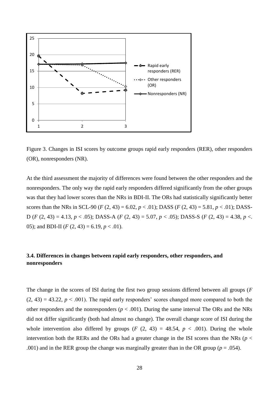

Figure 3. Changes in ISI scores by outcome groups rapid early responders (RER), other responders (OR), nonresponders (NR).

At the third assessment the majority of differences were found between the other responders and the nonresponders. The only way the rapid early responders differed significantly from the other groups was that they had lower scores than the NRs in BDI-II. The ORs had statistically significantly better scores than the NRs in SCL-90 (*F* (2, 43) = 6.02, *p* < .01); DASS (*F* (2, 43) = 5.81, *p* < .01); DASS-D (*F* (2, 43) = 4.13, *p* < .05); DASS-A (*F* (2, 43) = 5.07, *p* < .05); DASS-S (*F* (2, 43) = 4.38, *p* <. 05); and BDI-II ( $F(2, 43) = 6.19, p < .01$ ).

## <span id="page-32-0"></span>**3.4. Differences in changes between rapid early responders, other responders, and nonresponders**

The change in the scores of ISI during the first two group sessions differed between all groups (*F*   $(2, 43) = 43.22$ ,  $p < .001$ ). The rapid early responders' scores changed more compared to both the other responders and the nonresponders ( $p < .001$ ). During the same interval The ORs and the NRs did not differ significantly (both had almost no change). The overall change score of ISI during the whole intervention also differed by groups  $(F (2, 43) = 48.54, p < .001)$ . During the whole intervention both the RERs and the ORs had a greater change in the ISI scores than the NRs ( $p <$ .001) and in the RER group the change was marginally greater than in the OR group ( $p = .054$ ).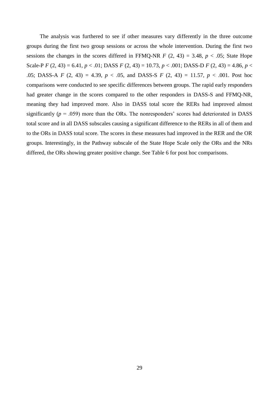The analysis was furthered to see if other measures vary differently in the three outcome groups during the first two group sessions or across the whole intervention. During the first two sessions the changes in the scores differed in FFMQ-NR  $F$  (2, 43) = 3.48,  $p < .05$ ; State Hope Scale-P *F* (2, 43) = 6.41, *p* < .01; DASS *F* (2, 43) = 10.73, *p* < .001; DASS-D *F* (2, 43) = 4.86, *p* < .05; DASS-A *F* (2, 43) = 4.39, *p* < .05, and DASS-S *F* (2, 43) = 11.57, *p* < .001. Post hoc comparisons were conducted to see specific differences between groups. The rapid early responders had greater change in the scores compared to the other responders in DASS-S and FFMQ-NR, meaning they had improved more. Also in DASS total score the RERs had improved almost significantly ( $p = .059$ ) more than the ORs. The nonresponders' scores had deteriorated in DASS total score and in all DASS subscales causing a significant difference to the RERs in all of them and to the ORs in DASS total score. The scores in these measures had improved in the RER and the OR groups. Interestingly, in the Pathway subscale of the State Hope Scale only the ORs and the NRs differed, the ORs showing greater positive change. See Table 6 for post hoc comparisons.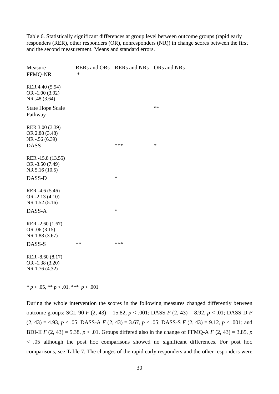Table 6. Statistically significant differences at group level between outcome groups (rapid early responders (RER), other responders (OR), nonresponders (NR)) in change scores between the first and the second measurement. Means and standard errors.

| Measure                                               | <b>RERs</b> and ORs | <b>RERs</b> and NRs | ORs and NRs |
|-------------------------------------------------------|---------------------|---------------------|-------------|
| <b>FFMQ-NR</b>                                        | $\ast$              |                     |             |
| RER 4.40 (5.94)<br>OR -1.00 (3.92)<br>NR .48 (3.64)   |                     |                     |             |
| <b>State Hope Scale</b>                               |                     |                     | $\ast\ast$  |
| Pathway                                               |                     |                     |             |
|                                                       |                     |                     |             |
| RER 3.00 (3.39)                                       |                     |                     |             |
| OR 2.88 (3.48)                                        |                     |                     |             |
| NR -.56 (6.39)                                        |                     |                     |             |
| <b>DASS</b>                                           |                     | ***                 | $\ast$      |
|                                                       |                     |                     |             |
| RER -15.8 (13.55)                                     |                     |                     |             |
| OR -3.50 (7.49)                                       |                     |                     |             |
| NR 5.16 (10.5)                                        |                     |                     |             |
| DASS-D                                                |                     | *                   |             |
|                                                       |                     |                     |             |
| RER -4.6 (5.46)                                       |                     |                     |             |
| OR -2.13 (4.10)                                       |                     |                     |             |
| NR 1.52 (5.16)                                        |                     |                     |             |
| DASS-A                                                |                     | $\ast$              |             |
|                                                       |                     |                     |             |
| RER -2.60 (1.67)<br>OR .06 (3.15)<br>NR 1.88 (3.67)   |                     |                     |             |
| DASS-S                                                | $**$                | ***                 |             |
| RER -8.60 (8.17)<br>OR -1.38 (3.20)<br>NR 1.76 (4.32) |                     |                     |             |

\* *p* < .05, \*\* *p* < .01, \*\*\* *p* < .001

During the whole intervention the scores in the following measures changed differently between outcome groups: SCL-90 *F* (2, 43) = 15.82, *p* < .001; DASS *F* (2, 43) = 8.92, *p* < .01; DASS-D *F*   $(2, 43) = 4.93, p < .05$ ; DASS-A *F*  $(2, 43) = 3.67, p < .05$ ; DASS-S *F*  $(2, 43) = 9.12, p < .001$ ; and BDI-II *F* (2, 43) = 5.38, *p* < .01. Groups differed also in the change of FFMQ-A *F* (2, 43) = 3.85, *p* < .05 although the post hoc comparisons showed no significant differences. For post hoc comparisons, see Table 7. The changes of the rapid early responders and the other responders were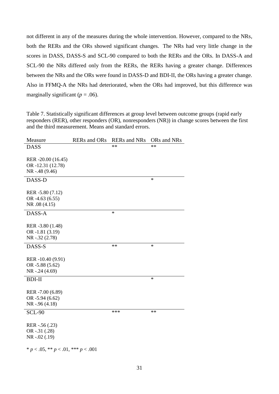not different in any of the measures during the whole intervention. However, compared to the NRs, both the RERs and the ORs showed significant changes. The NRs had very little change in the scores in DASS, DASS-S and SCL-90 compared to both the RERs and the ORs. In DASS-A and SCL-90 the NRs differed only from the RERs, the RERs having a greater change. Differences between the NRs and the ORs were found in DASS-D and BDI-II, the ORs having a greater change. Also in FFMQ-A the NRs had deteriorated, when the ORs had improved, but this difference was marginally significant ( $p = .06$ ).

Table 7. Statistically significant differences at group level between outcome groups (rapid early responders (RER), other responders (OR), nonresponders (NR)) in change scores between the first and the third measurement. Means and standard errors.

| Measure                                     | <b>RERs</b> and ORs | <b>RERs</b> and NRs | ORs and NRs |
|---------------------------------------------|---------------------|---------------------|-------------|
| <b>DASS</b>                                 |                     | **                  | **          |
|                                             |                     |                     |             |
| RER -20.00 (16.45)                          |                     |                     |             |
| OR-12.31 (12.78)                            |                     |                     |             |
| NR -.48 (9.46)                              |                     |                     |             |
| DASS-D                                      |                     |                     | $\ast$      |
|                                             |                     |                     |             |
| RER -5.80 (7.12)                            |                     |                     |             |
| OR -4.63 (6.55)                             |                     |                     |             |
| NR .08 (4.15)                               |                     |                     |             |
| DASS-A                                      |                     | $\ast$              |             |
|                                             |                     |                     |             |
| RER -3.80 (1.48)                            |                     |                     |             |
| OR -1.81 (3.19)                             |                     |                     |             |
| $NR - .32(2.78)$                            |                     |                     |             |
|                                             |                     |                     |             |
| DASS-S                                      |                     | $**$                | $\ast$      |
|                                             |                     |                     |             |
| RER -10.40 (9.91)                           |                     |                     |             |
| OR $-5.88(5.62)$                            |                     |                     |             |
| NR -.24 (4.69)                              |                     |                     |             |
| <b>BDI-II</b>                               |                     |                     | $\ast$      |
|                                             |                     |                     |             |
| RER -7.00 (6.89)                            |                     |                     |             |
| OR -5.94 (6.62)                             |                     |                     |             |
| $NR - .96(4.18)$                            |                     |                     |             |
| <b>SCL-90</b>                               |                     | ***                 | $**$        |
|                                             |                     |                     |             |
| RER -.56 (.23)                              |                     |                     |             |
| OR $-.31(.28)$                              |                     |                     |             |
| $NR - .02(.19)$                             |                     |                     |             |
|                                             |                     |                     |             |
| * $p < .05$ , ** $p < .01$ , *** $p < .001$ |                     |                     |             |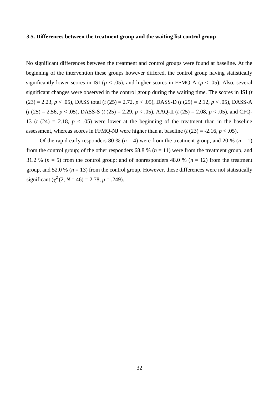### <span id="page-36-0"></span>**3.5. Differences between the treatment group and the waiting list control group**

No significant differences between the treatment and control groups were found at baseline. At the beginning of the intervention these groups however differed, the control group having statistically significantly lower scores in ISI ( $p < .05$ ), and higher scores in FFMQ-A ( $p < .05$ ). Also, several significant changes were observed in the control group during the waiting time. The scores in ISI (*t*   $(23) = 2.23, p < .05$ , DASS total (*t*  $(25) = 2.72, p < .05$ ), DASS-D (*t*  $(25) = 2.12, p < .05$ ), DASS-A  $(t (25) = 2.56, p < .05)$ , DASS-S  $(t (25) = 2.29, p < .05)$ , AAQ-II  $(t (25) = 2.08, p < .05)$ , and CFQ-13 ( $t$  (24) = 2.18,  $p < .05$ ) were lower at the beginning of the treatment than in the baseline assessment, whereas scores in FFMQ-NJ were higher than at baseline  $(t (23) = -2.16, p < .05)$ .

Of the rapid early responders 80 % ( $n = 4$ ) were from the treatment group, and 20 % ( $n = 1$ ) from the control group; of the other responders  $68.8 \%$  ( $n = 11$ ) were from the treatment group, and 31.2 %  $(n = 5)$  from the control group; and of nonresponders 48.0 %  $(n = 12)$  from the treatment group, and 52.0 % ( $n = 13$ ) from the control group. However, these differences were not statistically significant  $(\chi^2 (2, N = 46) = 2.78, p = .249)$ .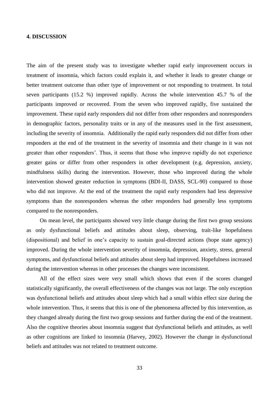#### <span id="page-37-0"></span>**4. DISCUSSION**

The aim of the present study was to investigate whether rapid early improvement occurs in treatment of insomnia, which factors could explain it, and whether it leads to greater change or better treatment outcome than other type of improvement or not responding to treatment. In total seven participants (15.2 %) improved rapidly. Across the whole intervention 45.7 % of the participants improved or recovered. From the seven who improved rapidly, five sustained the improvement. These rapid early responders did not differ from other responders and nonresponders in demographic factors, personality traits or in any of the measures used in the first assessment, including the severity of insomnia. Additionally the rapid early responders did not differ from other responders at the end of the treatment in the severity of insomnia and their change in it was not greater than other responders'. Thus, it seems that those who improve rapidly do not experience greater gains or differ from other responders in other development (e.g. depression, anxiety, mindfulness skills) during the intervention. However, those who improved during the whole intervention showed greater reduction in symptoms (BDI-II, DASS, SCL-90) compared to those who did not improve. At the end of the treatment the rapid early responders had less depressive symptoms than the nonresponders whereas the other responders had generally less symptoms compared to the nonresponders.

On mean level, the participants showed very little change during the first two group sessions as only dysfunctional beliefs and attitudes about sleep, observing, trait-like hopefulness (dispositional) and belief in one's capacity to sustain goal-directed actions (hope state agency) improved. During the whole intervention severity of insomnia, depression, anxiety, stress, general symptoms, and dysfunctional beliefs and attitudes about sleep had improved. Hopefulness increased during the intervention whereas in other processes the changes were inconsistent.

All of the effect sizes were very small which shows that even if the scores changed statistically significantly, the overall effectiveness of the changes was not large. The only exception was dysfunctional beliefs and attitudes about sleep which had a small within effect size during the whole intervention. Thus, it seems that this is one of the phenomena affected by this intervention, as they changed already during the first two group sessions and further during the end of the treatment. Also the cognitive theories about insomnia suggest that dysfunctional beliefs and attitudes, as well as other cognitions are linked to insomnia (Harvey, 2002). However the change in dysfunctional beliefs and attitudes was not related to treatment outcome.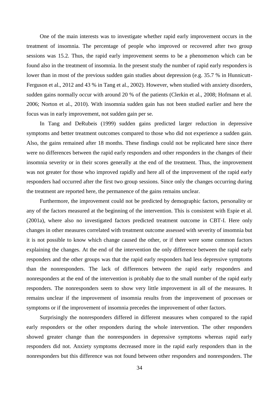One of the main interests was to investigate whether rapid early improvement occurs in the treatment of insomnia. The percentage of people who improved or recovered after two group sessions was 15.2. Thus, the rapid early improvement seems to be a phenomenon which can be found also in the treatment of insomnia. In the present study the number of rapid early responders is lower than in most of the previous sudden gain studies about depression (e.g. 35.7 % in Hunnicutt-Ferguson et al., 2012 and 43 % in Tang et al., 2002). However, when studied with anxiety disorders, sudden gains normally occur with around 20 % of the patients (Clerkin et al., 2008; Hofmann et al. 2006; Norton et al., 2010). With insomnia sudden gain has not been studied earlier and here the focus was in early improvement, not sudden gain per se.

In Tang and DeRubeis (1999) sudden gains predicted larger reduction in depressive symptoms and better treatment outcomes compared to those who did not experience a sudden gain. Also, the gains remained after 18 months. These findings could not be replicated here since there were no differences between the rapid early responders and other responders in the changes of their insomnia severity or in their scores generally at the end of the treatment. Thus, the improvement was not greater for those who improved rapidly and here all of the improvement of the rapid early responders had occurred after the first two group sessions. Since only the changes occurring during the treatment are reported here, the permanence of the gains remains unclear.

Furthermore, the improvement could not be predicted by demographic factors, personality or any of the factors measured at the beginning of the intervention. This is consistent with Espie et al. (2001a), where also no investigated factors predicted treatment outcome in CBT-I. Here only changes in other measures correlated with treatment outcome assessed with severity of insomnia but it is not possible to know which change caused the other, or if there were some common factors explaining the changes. At the end of the intervention the only difference between the rapid early responders and the other groups was that the rapid early responders had less depressive symptoms than the nonresponders. The lack of differences between the rapid early responders and nonresponders at the end of the intervention is probably due to the small number of the rapid early responders. The nonresponders seem to show very little improvement in all of the measures. It remains unclear if the improvement of insomnia results from the improvement of processes or symptoms or if the improvement of insomnia precedes the improvement of other factors.

Surprisingly the nonresponders differed in different measures when compared to the rapid early responders or the other responders during the whole intervention. The other responders showed greater change than the nonresponders in depressive symptoms whereas rapid early responders did not. Anxiety symptoms decreased more in the rapid early responders than in the nonresponders but this difference was not found between other responders and nonresponders. The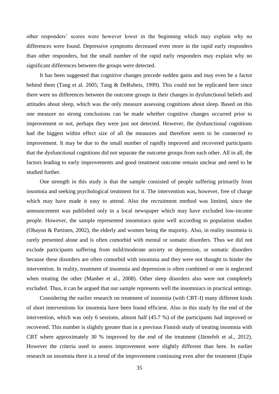other responders' scores were however lower in the beginning which may explain why no differences were found. Depressive symptoms decreased even more in the rapid early responders than other responders, but the small number of the rapid early responders may explain why no significant differences between the groups were detected.

It has been suggested that cognitive changes precede sudden gains and may even be a factor behind them (Tang et al. 2005; Tang & DeRubeis, 1999). This could not be replicated here since there were no differences between the outcome groups in their changes in dysfunctional beliefs and attitudes about sleep, which was the only measure assessing cognitions about sleep. Based on this one measure no strong conclusions can be made whether cognitive changes occurred prior to improvement or not, perhaps they were just not detected. However, the dysfunctional cognitions had the biggest within effect size of all the measures and therefore seem to be connected to improvement. It may be due to the small number of rapidly improved and recovered participants that the dysfunctional cognitions did not separate the outcome groups from each other. All in all, the factors leading to early improvements and good treatment outcome remain unclear and need to be studied further.

One strength in this study is that the sample consisted of people suffering primarily from insomnia and seeking psychological treatment for it. The intervention was, however, free of charge which may have made it easy to attend. Also the recruitment method was limited, since the announcement was published only in a local newspaper which may have excluded low-income people. However, the sample represented insomniacs quite well according to population studies (Ohayon & Partinen, 2002), the elderly and women being the majority. Also, in reality insomnia is rarely presented alone and is often comorbid with mental or somatic disorders. Thus we did not exclude participants suffering from mild/moderate anxiety or depression, or somatic disorders because these disorders are often comorbid with insomnia and they were not thought to hinder the intervention. In reality, treatment of insomnia and depression is often combined or one is neglected when treating the other (Manber et al., 2008). Other sleep disorders also were not completely excluded. Thus, it can be argued that our sample represents well the insomniacs in practical settings.

Considering the earlier research on treatment of insomnia (with CBT-I) many different kinds of short interventions for insomnia have been found efficient. Also in this study by the end of the intervention, which was only 6 sessions, almost half (45.7 %) of the participants had improved or recovered. This number is slightly greater than in a previous Finnish study of treating insomnia with CBT where approximately 30 % improved by the end of the treatment (Järnefelt et al., 2012). However the criteria used to assess improvement were slightly different than here. In earlier research on insomnia there is a trend of the improvement continuing even after the treatment (Espie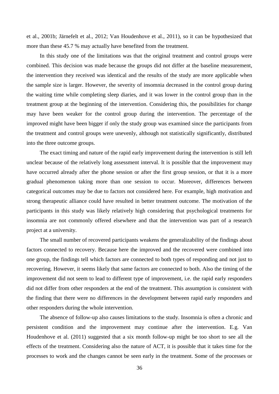et al., 2001b; Järnefelt et al., 2012; Van Houdenhove et al., 2011), so it can be hypothesized that more than these 45.7 % may actually have benefited from the treatment.

In this study one of the limitations was that the original treatment and control groups were combined. This decision was made because the groups did not differ at the baseline measurement, the intervention they received was identical and the results of the study are more applicable when the sample size is larger. However, the severity of insomnia decreased in the control group during the waiting time while completing sleep diaries, and it was lower in the control group than in the treatment group at the beginning of the intervention. Considering this, the possibilities for change may have been weaker for the control group during the intervention. The percentage of the improved might have been bigger if only the study group was examined since the participants from the treatment and control groups were unevenly, although not statistically significantly, distributed into the three outcome groups.

The exact timing and nature of the rapid early improvement during the intervention is still left unclear because of the relatively long assessment interval. It is possible that the improvement may have occurred already after the phone session or after the first group session, or that it is a more gradual phenomenon taking more than one session to occur. Moreover, differences between categorical outcomes may be due to factors not considered here. For example, high motivation and strong therapeutic alliance could have resulted in better treatment outcome. The motivation of the participants in this study was likely relatively high considering that psychological treatments for insomnia are not commonly offered elsewhere and that the intervention was part of a research project at a university.

The small number of recovered participants weakens the generalizability of the findings about factors connected to recovery. Because here the improved and the recovered were combined into one group, the findings tell which factors are connected to both types of responding and not just to recovering. However, it seems likely that same factors are connected to both. Also the timing of the improvement did not seem to lead to different type of improvement, i.e. the rapid early responders did not differ from other responders at the end of the treatment. This assumption is consistent with the finding that there were no differences in the development between rapid early responders and other responders during the whole intervention.

The absence of follow-up also causes limitations to the study. Insomnia is often a chronic and persistent condition and the improvement may continue after the intervention. E.g. Van Houdenhove et al. (2011) suggested that a six month follow-up might be too short to see all the effects of the treatment. Considering also the nature of ACT, it is possible that it takes time for the processes to work and the changes cannot be seen early in the treatment. Some of the processes or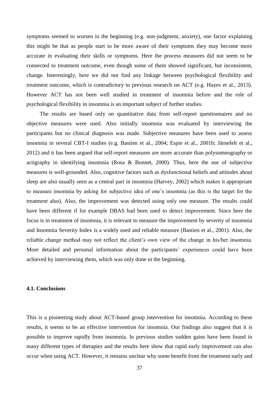symptoms seemed to worsen in the beginning (e.g. non-judgment, anxiety), one factor explaining this might be that as people start to be more aware of their symptoms they may become more accurate in evaluating their skills or symptoms. Here the process measures did not seem to be connected to treatment outcome, even though some of them showed significant, but inconsistent, change. Interestingly, here we did not find any linkage between psychological flexibility and treatment outcome, which is contradictory to previous research on ACT (e.g. Hayes et al., 2013). However ACT has not been well studied in treatment of insomnia before and the role of psychological flexibility in insomnia is an important subject of further studies.

The results are based only on quantitative data from self-report questionnaires and no objective measures were used. Also initially insomnia was evaluated by interviewing the participants but no clinical diagnosis was made. Subjective measures have been used to assess insomnia in several CBT-I studies (e.g. Bastien et al., 2004; Espie et al., 2001b; Järnefelt et al., 2012) and it has been argued that self-report measures are more accurate than polysomnography or actigraphy in identifying insomnia (Rosa & Bonnet, 2000). Thus, here the use of subjective measures is well-grounded. Also, cognitive factors such as dysfunctional beliefs and attitudes about sleep are also usually seen as a central part in insomnia (Harvey, 2002) which makes it appropriate to measure insomnia by asking for subjective idea of one's insomnia (as this is the target for the treatment also). Also, the improvement was detected using only one measure. The results could have been different if for example DBAS had been used to detect improvement. Since here the focus is in treatment of insomnia, it is relevant to measure the improvement by severity of insomnia and Insomnia Severity Index is a widely used and reliable measure (Bastien et al., 2001). Also, the reliable change method may not reflect the client's own view of the change in his/her insomnia. More detailed and personal information about the participants' experiences could have been achieved by interviewing them, which was only done in the beginning.

#### <span id="page-41-0"></span>**4.1. Conclusions**

This is a pioneering study about ACT-based group intervention for insomnia. According to these results, it seems to be an effective intervention for insomnia. Our findings also suggest that it is possible to improve rapidly from insomnia. In previous studies sudden gains have been found in many different types of therapies and the results here show that rapid early improvement can also occur when using ACT. However, it remains unclear why some benefit from the treatment early and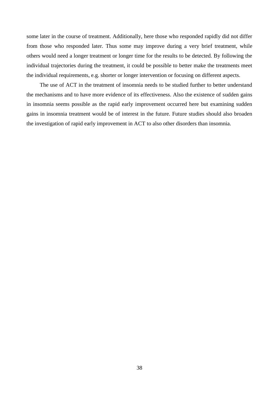some later in the course of treatment. Additionally, here those who responded rapidly did not differ from those who responded later. Thus some may improve during a very brief treatment, while others would need a longer treatment or longer time for the results to be detected. By following the individual trajectories during the treatment, it could be possible to better make the treatments meet the individual requirements, e.g. shorter or longer intervention or focusing on different aspects.

The use of ACT in the treatment of insomnia needs to be studied further to better understand the mechanisms and to have more evidence of its effectiveness. Also the existence of sudden gains in insomnia seems possible as the rapid early improvement occurred here but examining sudden gains in insomnia treatment would be of interest in the future. Future studies should also broaden the investigation of rapid early improvement in ACT to also other disorders than insomnia.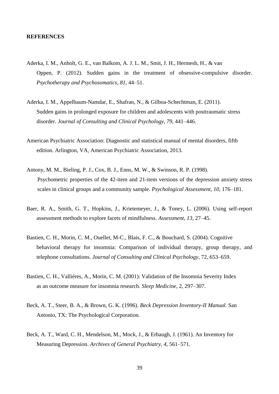#### <span id="page-43-0"></span>**REFERENCES**

- Aderka, I. M., Anholt, G. E., van Balkom, A. J. L. M., Smit, J. H., Hermesh, H., & van Oppen, P. (2012). Sudden gains in the treatment of obsessive-compulsive disorder. *Psychotherapy and Psychosomatics, 81*, 44–51.
- Aderka, I. M., Appelbaum-Namdar, E., Shafran, N., & Gilboa-Schechtman, E. (2011). Sudden gains in prolonged exposure for children and adolescents with posttraumatic stress disorder. *Journal of Consulting and Clinical Psychology, 79*, 441–446.
- American Psychiatric Association: Diagnostic and statistical manual of mental disorders, fifth edition. Arlington, VA, American Psychiatric Association, 2013.
- Antony, M. M., Bieling, P. J., Cox, B. J., Enns, M. W., & Swinson, R. P. (1998). Psychometric properties of the 42-item and 21-item versions of the depression anxiety stress scales in clinical groups and a community sample. *Psychological Assessment, 10*, 176–181.
- Baer, R. A., Smith, G. T., Hopkins, J., Krietemeyer, J., & Toney, L. (2006). Using self-report assessment methods to explore facets of mindfulness. *Assessment, 13*, 27–45.
- Bastien, C. H., Morin, C. M., Ouellet, M-C., Blais, F. C., & Bouchard, S. (2004). Cognitive behavioral therapy for insomnia: Comparison of individual therapy, group therapy, and telephone consultations. *Journal of Consulting and Clinical Psychology,* 72, 653–659.
- Bastien, C. H., Valliéres, A., Morin, C. M. (2001): Validation of the Insomnia Severity Index as an outcome measure for insomnia research. *Sleep Medicine,* 2, 297–307.
- Beck, A. T., Steer, B. A., & Brown, G. K. (1996). *Beck Depression Inventory-II Manual.* San Antonio, TX: The Psychological Corporation.
- Beck, A. T., Ward, C. H., Mendelson, M., Mock, J., & Erbaugh, J. (1961). An Inventory for Measuring Depression. *Archives of General Psychiatry, 4*, 561–571.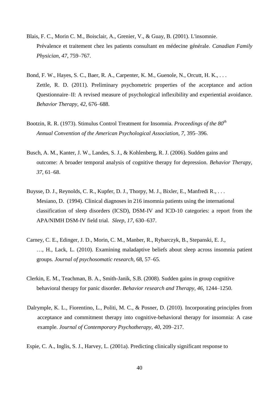- Blais, F. C., Morin C. M., Boisclair, A., Grenier, V., & Guay, B. (2001). L'insomnie. Prévalence et traitement chez les patients consultant en médecine générale. *Canadian Family Physician, 47*, 759–767.
- Bond, F. W., Hayes, S. C., Baer, R. A., Carpenter, K. M., Guenole, N., Orcutt, H. K., . . . Zettle, R. D. (2011). Preliminary psychometric properties of the acceptance and action Questionnaire–II: A revised measure of psychological inflexibility and experiential avoidance. *Behavior Therapy, 42*, 676–688.
- Bootzin, R. R. (1973). Stimulus Control Treatment for Insomnia. *Proceedings of the 80th Annual Convention of the American Psychological Association, 7*, 395–396.
- Busch, A. M., Kanter, J. W., Landes, S. J., & Kohlenberg, R. J. (2006). Sudden gains and outcome: A broader temporal analysis of cognitive therapy for depression. *Behavior Therapy, 37*, 61–68.
- Buysse, D. J., Reynolds, C. R., Kupfer, D. J., Thorpy, M. J., Bixler, E., Manfredi R., . . . Mesiano, D. (1994). Clinical diagnoses in 216 insomnia patients using the international classification of sleep disorders (ICSD), DSM-IV and ICD-10 categories: a report from the APA/NIMH DSM-IV field trial. *Sleep, 17*, 630–637.
- Carney, C. E., Edinger, J. D., Morin, C. M., Manber, R., Rybarczyk, B., Stepanski, E. J., …, H., Lack, L. (2010). Examining maladaptive beliefs about sleep across insomnia patient groups. *Journal of psychosomatic research,* 68, 57–65.
- Clerkin, E. M., Teachman, B. A., Smith-Janik, S.B. (2008). Sudden gains in group cognitive behavioral therapy for panic disorder. *Behavior research and Therapy, 46*, 1244–1250.
- Dalrymple, K. L., Fiorentino, L., Politi, M. C., & Posner, D. (2010). Incorporating principles from acceptance and commitment therapy into cognitive-behavioral therapy for insomnia: A case example. *Journal of Contemporary Psychotherapy, 40*, 209–217.

Espie, C. A., Inglis, S. J., Harvey, L. (2001a). Predicting clinically significant response to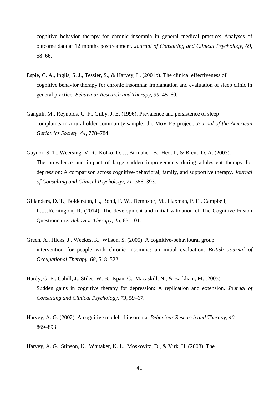cognitive behavior therapy for chronic insomnia in general medical practice: Analyses of outcome data at 12 months posttreatment. *Journal of Consulting and Clinical Psychology, 69*, 58–66.

- Espie, C. A., Inglis, S. J., Tessier, S., & Harvey, L. (2001b). The clinical effectiveness of cognitive behavior therapy for chronic insomnia: implantation and evaluation of sleep clinic in general practice. *Behaviour Research and Therapy, 39*, 45–60.
- Ganguli, M., Reynolds, C. F., Gilby, J. E. (1996). Prevalence and persistence of sleep complaints in a rural older community sample: the MoVIES project. *Journal of the American Geriatrics Society, 44*, 778–784.
- Gaynor, S. T., Weersing, V. R., Kolko, D. J., Birmaher, B., Heo, J., & Brent, D. A. (2003). The prevalence and impact of large sudden improvements during adolescent therapy for depression: A comparison across cognitive-behavioral, family, and supportive therapy. *Journal of Consulting and Clinical Psychology, 71*, 386–393.
- Gillanders, D. T., Bolderston, H., Bond, F. W., Dempster, M., Flaxman, P. E., Campbell, L.,…Remington, R. (2014). The development and initial validation of The Cognitive Fusion Questionnaire. *Behavior Therapy, 45*, 83–101*.*
- Green, A., Hicks, J., Weekes, R., Wilson, S. (2005). A cognitive-behavioural group intervention for people with chronic insomnia: an initial evaluation. *British Journal of Occupational Therapy, 68*, 518–522.
- Hardy, G. E., Cahill, J., Stiles, W. B., Ispan, C., Macaskill, N., & Barkham, M. (2005). Sudden gains in cognitive therapy for depression: A replication and extension. *Journal of Consulting and Clinical Psychology, 73*, 59–67.
- Harvey, A. G. (2002). A cognitive model of insomnia. *Behaviour Research and Therapy, 40*. 869–893.

Harvey, A. G., Stinson, K., Whitaker, K. L., Moskovitz, D., & Virk, H. (2008). The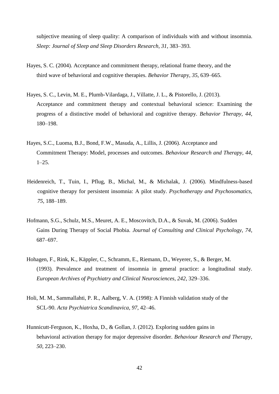subjective meaning of sleep quality: A comparison of individuals with and without insomnia. *Sleep: Journal of Sleep and Sleep Disorders Research, 31*, 383–393.

- Hayes, S. C. (2004). Acceptance and commitment therapy, relational frame theory, and the third wave of behavioral and cognitive therapies. *Behavior Therap*y, *35*, 639–665.
- Hayes, S. C., Levin, M. E., Plumb-Vilardaga, J., Villatte, J. L., & Pistorello, J. (2013). Acceptance and commitment therapy and contextual behavioral science: Examining the progress of a distinctive model of behavioral and cognitive therapy. *Behavior Therapy, 44*, 180–198.
- Hayes, S.C., Luoma, B.J., Bond, F.W., Masuda, A., Lillis, J. (2006). Acceptance and Commitment Therapy: Model, processes and outcomes. *Behaviour Research and Therapy, 44*,  $1-25.$
- Heidenreich, T., Tuin, I., Pflug, B., Michal, M., & Michalak, J. (2006). Mindfulness-based cognitive therapy for persistent insomnia: A pilot study. *Psychotherapy and Psychosomatics, 75*, 188–189.
- Hofmann, S.G., Schulz, M.S., Meuret, A. E., Moscovitch, D.A., & Suvak, M. (2006). Sudden Gains During Therapy of Social Phobia. *Journal of Consulting and Clinical Psychology, 74*, 687–697.
- Hohagen, F., Rink, K., Käppler, C., Schramm, E., Riemann, D., Weyerer, S., & Berger, M. (1993). Prevalence and treatment of insomnia in general practice: a longitudinal study. *European Archives of Psychiatry and Clinical Neurosciences, 242*, 329–336.
- Holi, M. M., Sammallahti, P. R., Aalberg, V. A. (1998): A Finnish validation study of the SCL-90. *Acta Psychiatrica Scandinavica, 97*, 42–46.
- Hunnicutt-Ferguson, K., Hoxha, D., & Gollan, J. (2012). Exploring sudden gains in behavioral activation therapy for major depressive disorder. *Behaviour Research and Therapy, 50*, 223–230.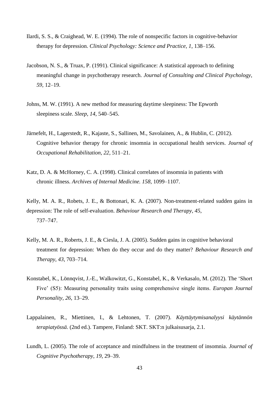- Ilardi, S. S., & Craighead, W. E. (1994). The role of nonspecific factors in cognitive-behavior therapy for depression. *Clinical Psychology: Science and Practice, 1*, 138–156.
- Jacobson, N. S., & Truax, P. (1991). Clinical significance: A statistical approach to defining meaningful change in psychotherapy research. *Journal of Consulting and Clinical Psychology, 59*, 12–19.
- Johns, M. W. (1991). A new method for measuring daytime sleepiness: The Epworth sleepiness scale. *Sleep, 14*, 540–545.
- Järnefelt, H., Lagerstedt, R., Kajaste, S., Sallinen, M., Savolainen, A., & Hublin, C. (2012). Cognitive behavior therapy for chronic insomnia in occupational health services. *Journal of Occupational Rehabilitation, 22*, 511–21.
- Katz, D. A. & McHorney, C. A. (1998). Clinical correlates of insomnia in patients with chronic illness. *Archives of Internal Medicine. 158*, 1099–1107.
- Kelly, M. A. R., Robets, J. E., & Bottonari, K. A. (2007). Non-treatment-related sudden gains in depression: The role of self-evaluation. *Behaviour Research and Therapy, 45*, 737–747.
- Kelly, M. A. R., Roberts, J. E., & Ciesla, J. A. (2005). Sudden gains in cognitive behavioral treatment for depression: When do they occur and do they matter? *Behaviour Research and Therapy, 43*, 703–714.
- Konstabel, K., Lönnqvist, J.-E., Walkowitzt, G., Konstabel, K., & Verkasalo, M. (2012). The 'Short Five' (S5): Measuring personality traits using comprehensive single items. *Europan Journal Personality, 26*, 13–29.
- Lappalainen, R., Miettinen, I., & Lehtonen, T. (2007). *Käyttäytymisanalyysi käytännön terapiatyössä.* (2nd ed.). Tampere, Finland: SKT. SKT:n julkaisusarja, 2.1.
- Lundh, L. (2005). The role of acceptance and mindfulness in the treatment of insomnia. *Journal of Cognitive Psychotherapy, 19*, 29–39.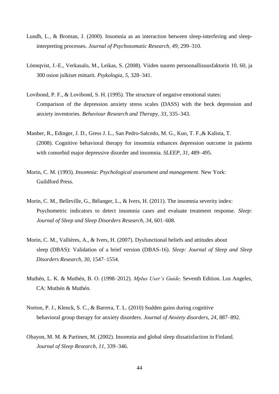- Lundh, L., & Broman, J. (2000). Insomnia as an interaction between sleep-interfering and sleepinterpreting processes. *Journal of Psychosomatic Research, 49*, 299–310.
- Lönnqvist, J.-E., Verkasalo, M., Leikas, S. (2008). Viiden suuren persoonallisuusfaktorin 10, 60, ja 300 osion julkiset mittarit. *Psykologia, 5*, 328–341.
- Lovibond, P. F., & Lovibond, S. H. (1995). The structure of negative emotional states: Comparison of the depression anxiety stress scales (DASS) with the beck depression and anxiety inventories. *Behaviour Research and Therapy, 33*, 335–343.
- Manber, R., Edinger, J. D., Gress J. L., San Pedro-Salcedo, M. G., Kuo, T. F.,& Kalista, T. (2008). Cognitive behavioral therapy for insomnia enhances depression outcome in patients with comorbid major depressive disorder and insomnia. *SLEEP, 31*, 489–495.
- Morin, C. M. (1993). *Insomnia: Psychological assessment and management.* New York: Guildford Press.
- Morin, C. M., Belleville, G., Bélanger, L., & Ivers, H. (2011). The insomnia severity index: Psychometric indicators to detect insomnia cases and evaluate treatment response. *Sleep: Journal of Sleep and Sleep Disorders Research, 34*, 601–608.
- Morin, C. M., Vallières, A., & Ivers, H. (2007). Dysfunctional beliefs and attitudes about sleep (DBAS): Validation of a brief version (DBAS-16). *Sleep: Journal of Sleep and Sleep Disorders Research, 30*, 1547–1554.
- Muthén, L. K. & Muthén, B. O. (1998–2012). *Mplus User's Guide*. Seventh Edition. Los Angeles, CA: Muthén & Muthén.
- Norton, P. J., Klenck, S. C., & Barrera, T. L. (2010) Sudden gains during cognitive behavioral group therapy for anxiety disorders. *Journal of Anxiety disorders, 24*, 887–892.
- Ohayon, M. M. & Partinen, M. (2002). Insomnia and global sleep dissatisfaction in Finland. *Journal of Sleep Research, 11*, 339–346.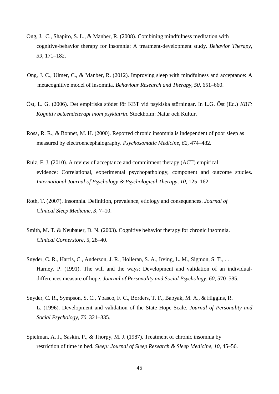- Ong, J. C., Shapiro, S. L., & Manber, R. (2008). Combining mindfulness meditation with cognitive-behavior therapy for insomnia: A treatment-development study. *Behavior Therapy, 39*, 171–182.
- Ong, J. C., Ulmer, C., & Manber, R. (2012). Improving sleep with mindfulness and acceptance: A metacognitive model of insomnia. *Behaviour Research and Therapy, 50*, 651–660.
- Öst, L. G. (2006). Det empiriska stödet för KBT vid psykiska störningar. In L.G. Öst (Ed.) *KBT: Kognitiv beteendeterapi inom psykiatrin*. Stockholm: Natur och Kultur.
- Rosa, R. R., & Bonnet, M. H. (2000). Reported chronic insomnia is independent of poor sleep as measured by electroencephalography. *Psychosomatic Medicine, 62*, 474–482.
- Ruiz, F. J. (2010). A review of acceptance and commitment therapy (ACT) empirical evidence: Correlational, experimental psychopathology, component and outcome studies. *International Journal of Psychology & Psychological Therapy, 10*, 125–162.
- Roth, T. (2007). Insomnia. Definition, prevalence, etiology and consequences. *Journal of Clinical Sleep Medicine, 3*, 7–10.
- Smith, M. T. & Neubauer, D. N. (2003). Cognitive behavior therapy for chronic insomnia. *Clinical Cornerstore,* 5, 28–40.
- Snyder, C. R., Harris, C., Anderson, J. R., Holleran, S. A., Irving, L. M., Sigmon, S. T., ... Harney, P. (1991). The will and the ways: Development and validation of an individualdifferences measure of hope. *Journal of Personality and Social Psychology, 60*, 570–585.
- Snyder, C. R., Sympson, S. C., Ybasco, F. C., Borders, T. F., Babyak, M. A., & Higgins, R. L. (1996). Development and validation of the State Hope Scale. *Journal of Personality and Social Psychology, 70*, 321–335.
- Spielman, A. J., Saskin, P., & Thorpy, M. J. (1987). Treatment of chronic insomnia by restriction of time in bed. *Sleep: Journal of Sleep Research & Sleep Medicine, 10*, 45–56.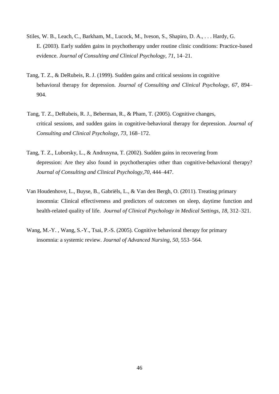- Stiles, W. B., Leach, C., Barkham, M., Lucock, M., Iveson, S., Shapiro, D. A., . . . Hardy, G. E. (2003). Early sudden gains in psychotherapy under routine clinic conditions: Practice-based evidence. *Journal of Consulting and Clinical Psychology, 71*, 14–21.
- Tang, T. Z., & DeRubeis, R. J. (1999). Sudden gains and critical sessions in cognitive behavioral therapy for depression. *Journal of Consulting and Clinical Psychology, 67*, 894– 904.
- Tang, T. Z., DeRubeis, R. J., Beberman, R., & Pham, T. (2005). Cognitive changes, critical sessions, and sudden gains in cognitive-behavioral therapy for depression. *Journal of Consulting and Clinical Psychology, 73*, 168–172.
- Tang, T. Z., Luborsky, L., & Andrusyna, T. (2002). Sudden gains in recovering from depression: Are they also found in psychotherapies other than cognitive-behavioral therapy? *Journal of Consulting and Clinical Psychology,70*, 444–447.
- Van Houdenhove, L., Buyse, B., Gabriëls, L., & Van den Bergh, O. (2011). Treating primary insomnia: Clinical effectiveness and predictors of outcomes on sleep, daytime function and health-related quality of life. *Journal of Clinical Psychology in Medical Settings, 18*, 312–321.
- Wang, M.-Y. , Wang, S.-Y., Tsai, P.-S. (2005). Cognitive behavioral therapy for primary insomnia: a systemic review. *Journal of Advanced Nursing, 50*, 553–564.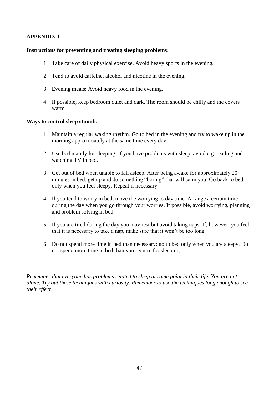## <span id="page-51-0"></span>**APPENDIX 1**

## **Instructions for preventing and treating sleeping problems:**

- 1. Take care of daily physical exercise. Avoid heavy sports in the evening.
- 2. Tend to avoid caffeine, alcohol and nicotine in the evening.
- 3. Evening meals: Avoid heavy food in the evening.
- 4. If possible, keep bedroom quiet and dark. The room should be chilly and the covers warm.

## **Ways to control sleep stimuli:**

- 1. Maintain a regular waking rhythm. Go to bed in the evening and try to wake up in the morning approximately at the same time every day.
- 2. Use bed mainly for sleeping. If you have problems with sleep, avoid e.g. reading and watching TV in bed.
- 3. Get out of bed when unable to fall asleep. After being awake for approximately 20 minutes in bed, get up and do something "boring" that will calm you. Go back to bed only when you feel sleepy. Repeat if necessary.
- 4. If you tend to worry in bed, move the worrying to day time. Arrange a certain time during the day when you go through your worries. If possible, avoid worrying, planning and problem solving in bed.
- 5. If you are tired during the day you may rest but avoid taking naps. If, however, you feel that it is necessary to take a nap, make sure that it won't be too long.
- 6. Do not spend more time in bed than necessary; go to bed only when you are sleepy. Do not spend more time in bed than you require for sleeping.

*Remember that everyone has problems related to sleep at some point in their life. You are not alone. Try out these techniques with curiosity. Remember to use the techniques long enough to see their effect.*